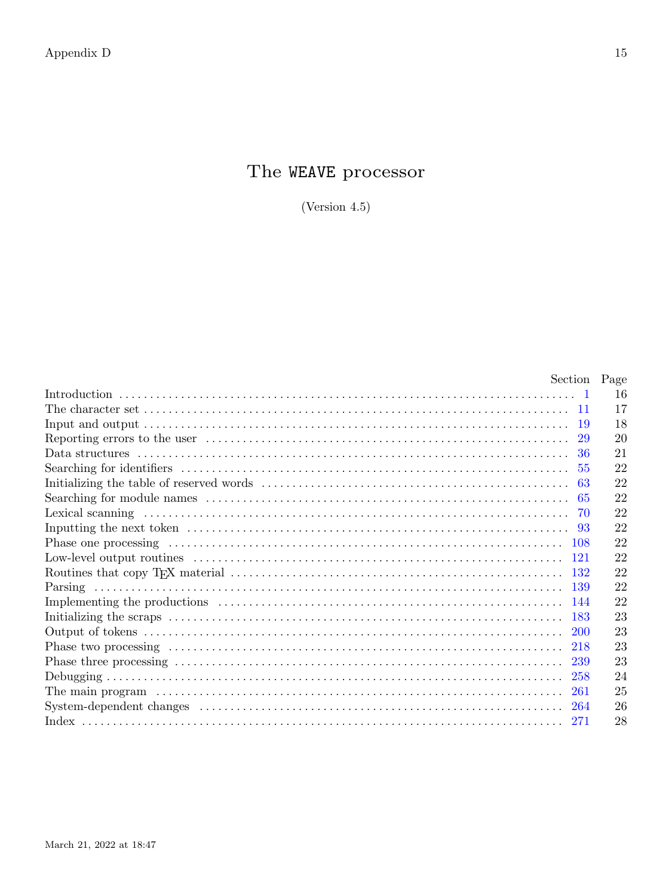# The WEAVE processor

(Version  $4.5$ )

| Section Page |    |
|--------------|----|
|              | 16 |
|              | 17 |
| -19          | 18 |
|              | 20 |
| 36           | 21 |
| 55           | 22 |
| 63           | 22 |
| -65          | 22 |
| 70           | 22 |
|              | 22 |
|              | 22 |
|              | 22 |
|              | 22 |
| -139         | 22 |
|              | 22 |
| -183         | 23 |
| -200         | 23 |
|              | 23 |
|              | 23 |
|              | 24 |
| -261         | 25 |
|              | 26 |
| -271         | 28 |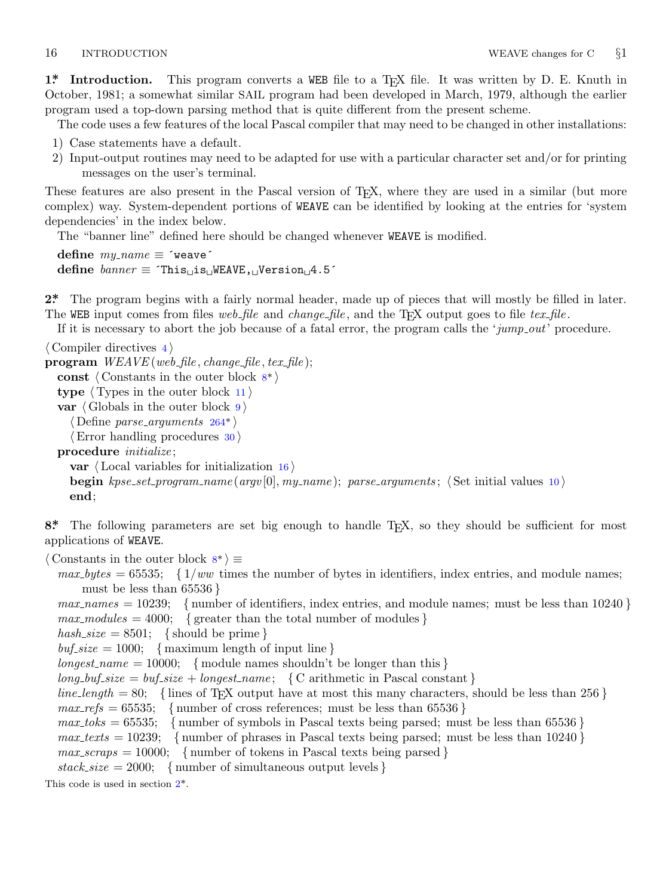<span id="page-1-0"></span>

**1\*** Introduction. This program converts a WEB file to a T<sub>E</sub>X file. It was written by D. E. Knuth in October, 1981; a somewhat similar SAIL program had been developed in March, 1979, although the earlier program used a top-down parsing method that is quite different from the present scheme.

The code uses a few features of the local Pascal compiler that may need to be changed in other installations:

- 1) Case statements have a default.
- 2) Input-output routines may need to be adapted for use with a particular character set and/or for printing messages on the user's terminal.

These features are also present in the Pascal version of T<sub>E</sub>X, where they are used in a similar (but more complex) way. System-dependent portions of WEAVE can be identified by looking at the entries for 'system dependencies' in the index below.

The "banner line" defined here should be changed whenever WEAVE is modified.

 $define \, m v\_name \equiv 'weave'$ **define** *banner ≡* ´This␣is␣WEAVE,␣Version␣4.5´

**2\*.** The program begins with a fairly normal header, made up of pieces that will mostly be filled in later. The WEB input comes from files *web file* and *change file* , and the TEX output goes to file *tex file* .

If it is necessary to abort th[e jo](#page-11-0)b because of a fatal error, the program calls the '*jump out*' procedure.

*⟨* Compiler directives 4 *⟩* **program** *WEAVE* (*web file , change file , tex file* ); **const** *⟨* Constants in the outer block 8\* *⟩* **type** *⟨* Types in the outer block 11 *⟩* **var** *⟨* Globals in the outer block 9 *⟩ ⟨* Define *parse arguments* 264\* *⟩ ⟨*Error handling procedures 30 *⟩* **procedure** *initialize* ; **var** *⟨* Local variables for initialization 16 *⟩* **begin** *kpse set program name* (*argv* [0]*, my name* ); *parse arguments* ; *⟨* Set initial values 10 *⟩* **end**;

8<sup>\*</sup>. The following parameters are set big enough to handle T<sub>E</sub>X, so they should be sufficient for most applications of WEAVE.

*⟨* Constants in the outer block 8\* *⟩ ≡*

 $max\_bytes = 65535; \{1/ww \text{ times the number of bytes in identifiers, index entries, and module names;$ must be less than 65536 *}*

*max names* = 10239; *{* number of identifiers, index entries, and module names; must be less than 10240 *}*  $max_{i}$  *max\_modules* = 4000; { greater than the total number of modules }  $hash\_size = 8501;$  {should be prime }

 $\text{buf\_size} = 1000; \{$  maximum length of input line *}* 

 $longest_name = 10000;$  {module names shouldn't be longer than this }

 $long_buf\_size = by\_size + longest\_name; \{C \text{ arithmetic in Pascal constant} \}$ 

- $line_length = 80;$  {lines of T<sub>E</sub>X output have at most this many characters, should be less than 256 }  $max\_refs = 65535;$  { number of cross references; must be less than 65536 }
- $max\_toks = 65535$ ; {number of symbols in Pascal texts being parsed; must be less than 65536 }
- $max\_texts = 10239$ ; {number of phrases in Pascal texts being parsed; must be less than 10240 }
- $max\_scraps = 10000;$  { number of tokens in Pascal texts being parsed }
- $stack_size = 2000; \{number of simultaneous output levels\}$

This code is used in section 2\*.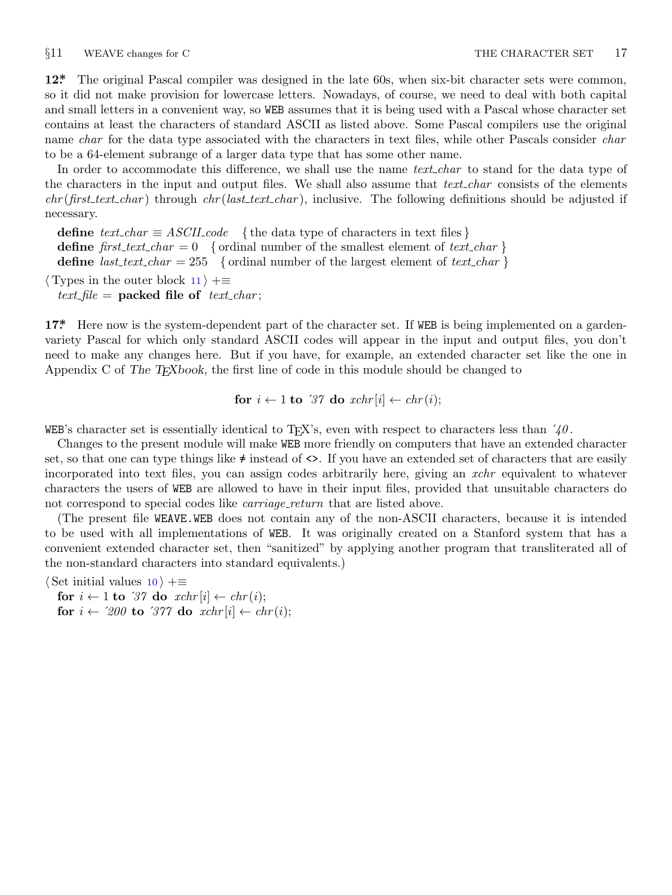<span id="page-2-0"></span>

**12\*.** The original Pascal compiler was designed in the late 60s, when six-bit character sets were common, so it did not make provision for lowercase letters. Nowadays, of course, we need to deal with both capital and small letters in a convenient way, so WEB assumes that it is being used with a Pascal whose character set contains at least the characters of standard ASCII as listed above. Some Pascal compilers use the original name *char* for the data type associated with the characters in text files, while other Pascals consider *char* to be a 64-element subrange of a larger data type that has some other name.

In order to accommodate this difference, we shall use the name *text\_char* to stand for the data type of the characters in the input and output files. We shall also assume that *text char* consists of the elements *chr* (*first text char* ) through *chr* (*last text char* ), inclusive. The following definitions should be adjusted if necessary.

**define**  $text\_text\_char \equiv ASCII\_code$  { the data type of characters in text files } **define**  $first\_text\_char = 0$  {ordinal number of the smallest element of  $text\_char \}$ } **define** *last\_text\_char* = 255 { ordinal number of the largest element of *text\_char* }

*⟨* Types in the outer block 11 *⟩* +*≡*

 $text$  *file* = **packed file of**  $text$  $text$  $text$  $text$  $text$  $text$  $text$ 

**17\*.** Here now is the system-dependent part of the character set. If WEB is being implemented on a gardenvariety Pascal for which only standard ASCII codes will appear in the input and output files, you don't need to make any changes here. But if you have, for example, an extended character set like the one in Appendix C of *The TEXbook*, the first line of code in this module should be changed to

for 
$$
i \leftarrow 1
$$
 to '37 do  $xchr[i] \leftarrow chr(i);$ 

WEB's character set is essentially identical to T<sub>E</sub>X's, even with respect to characters less than  $\angle \theta$ .

Changes to the present module will make WEB more friendly on computers that have an extended character set, so that one can type things like  $\neq$  instead of  $\lt\gt$ . If you have an extended set of characters that are easily incorporated into text files, you can assign codes arbitrarily here, giving an *xchr* equivalent to whatever characters the users of WEB are allowed to have in their input files, provided that unsuitable characters do not correspond to special codes like *carriage\_return* that are listed above.

(The present file WEAVE.WEB does not contain any of the non-ASCII characters, because it is intended to be used with all implementations of WEB. It was originally created on a Stanford system that has a convenient extended character set, then "sanitized" by applying another program that transliterated all of the non-standard characters into standard equivalents.)

*⟨* Set initial values 10 *⟩* +*≡*

**for**  $i \leftarrow 1$  **to** '37 **do**  $xchr[i] \leftarrow chr(i);$ **for**  $i \leftarrow 200$  **to** '377 **do**  $xchr[i] \leftarrow chr(i);$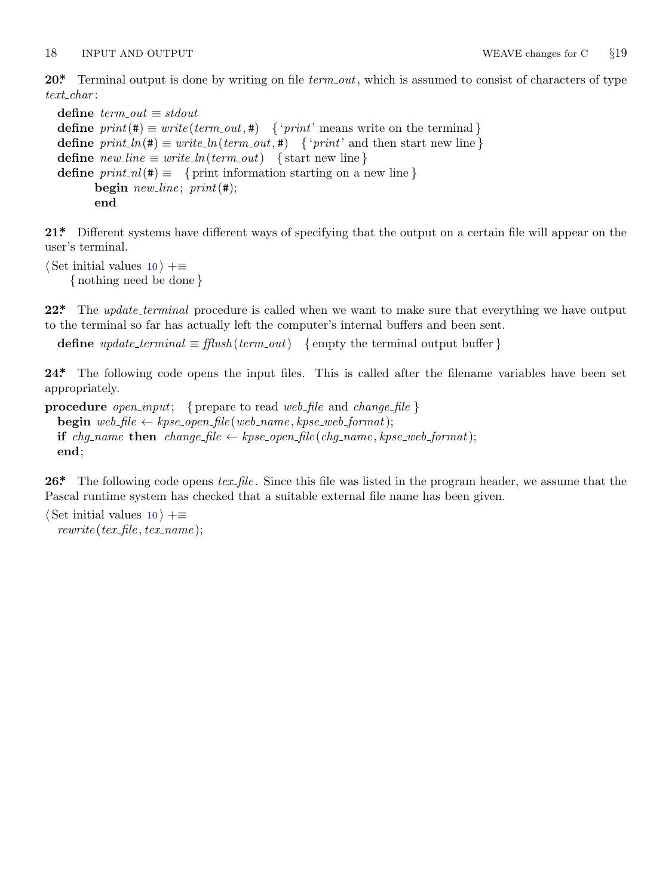<span id="page-3-0"></span>18 INPUT AND OUTPUT WEAVE changes for C *§*19

**20\*.** Terminal output is done by writing on file *term out*, which is assumed to consist of characters of type *text char* :

```
define \; term\_out \equiv stdoutdefine print(\textbf{\#}) \equiv write(term\_out, \textbf{\#}) { 'print' means write on the terminal }
define print\ln(\textbf{#}) \equiv write\ln(term\text{ }out,\textbf{#}) { 'print' and then start new line }
\text{define } new\text{-}line \equiv write\text{-}ln(term\text{-}out) \quad \text{{\{ start new line\}}}define print\_nl(\textbf{\#}) \equiv \{ print information starting on a new line \}begin new line ; print(#);
         end
```
**21\*.** Different systems have different ways of specifying that the output on a certain file will appear on the user's terminal.

```
⟨ Set initial values 10 ⟩ +≡
    { nothing need be done }
```
**22\*** The *update\_terminal* procedure is called when we want to make sure that everything we have output to the terminal so far has actually left the computer's internal buffers and been sent.

**define**  $update\_terminal \equiv \text{fflush}(term.out)$  {empty the terminal output buffer }

**24\*.** The following code opens the input files. This is called after the filename variables have been set appropriately.

```
procedure open input; { prepare to read web file and change file }
   \mathbf{begin} \n\text{begin} \nwe \text{}\nb = \text{file} \leftarrow \text{type\_open\_file}(\text{web\_name}, \text{type\_web\_format});if chg_name then change file \leftarrow kpse\_open file (chg_name, kpse\_web\_format);end;
```
**26\*.** The following code opens *tex file* . Since this file was listed in the program header, we assume that the Pascal runtime system has checked that a suitable external file name has been given.

```
⟨ Set initial values 10 ⟩ +≡
  rewrite (tex file , tex name );
```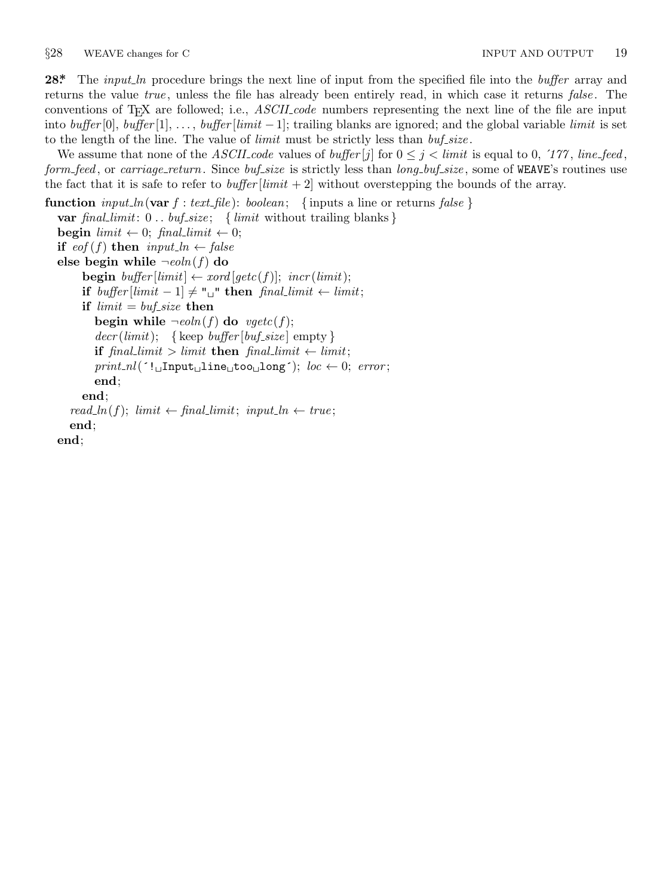<span id="page-4-0"></span>**28\*.** The *input ln* procedure brings the next line of input from the specified file into the *buffer* array and returns the value *true* , unless the file has already been entirely read, in which case it returns *false* . The conventions of TEX are followed; i.e., *ASCII code* numbers representing the next line of the file are input into *buffer* [0], *buffer* [1], *. . .* , *buffer* [*limit −* 1]; trailing blanks are ignored; and the global variable *limit* is set to the length of the line. The value of *limit* must be strictly less than *buf size* .

We assume that none of the *ASCII code* values of *buffer* [*j*] for  $0 \leq j \leq limit$  is equal to 0, '177, *line feed*, *form feed* , or *carriage return*. Since *buf size* is strictly less than *long buf size* , some of WEAVE's routines use the fact that it is safe to refer to *buffer* [*limit*  $+2$ ] without overstepping the bounds of the array.

```
function input\_ln(\text{var } f: text\_file): boolean; \{ inputs a line or returns false \}var final limit: 0 . . buf size ; { limit without trailing blanks }
  begin limit \leftarrow 0; final\_limit \leftarrow 0;
  if e^{of(f)} then input\_ln \leftarrow falseelse begin while \negeoln(f) do
        begin buffer[limit] \leftarrow xord[getc(f)]; incr(limit);if buffer[limit -1] ≠ "□" then final\_limit ← limit;if limit = but\_size then
           begin while \negeoln(f) do \negegetc(f);
           decr (limit); {keep buffer [buf_size] empty }
           if \text{final\_limit} > \text{limit} then \text{final\_limit} \leftarrow \text{limit};
           print\_nl<sup>(\cdot!\BoxInput\Boxline\Boxtoo\Boxlong<sup>\cdot</sup>); loc \leftarrow 0; error;</sup>
           end;
        end;
     read\_ln(f); limit \leftarrow final\_limit; input\_ln \leftarrow true;end;
  end;
```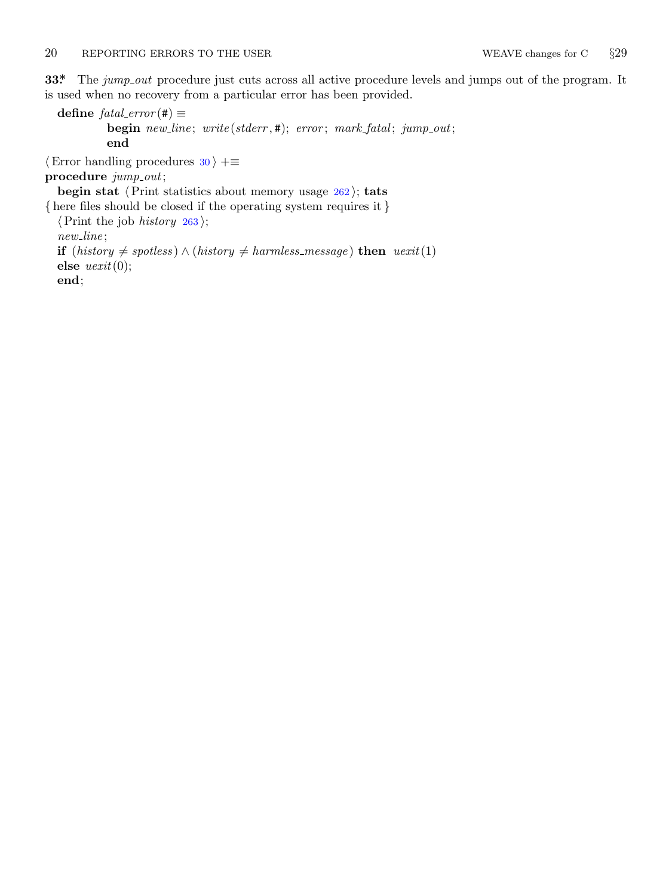### <span id="page-5-0"></span>20 REPORTING ERRORS TO THE USER WEAVE changes for C *§*29

**33\*** The *jump\_out* procedure just cuts across all active procedure levels and jumps out of the program. It is used when no recovery from a particular error has been provided.

 $\text{define } \text{fatal\_error}(\texttt{\#}) \equiv$ **begin** *new line* ; *write* (*stderr ,* #); *error* ; *mark fatal* ; *jump out*; **end** *⟨*Error handling procedures 30 *⟩* +*≡* **procedure** *jump out*; **begin stat** *⟨*Print statistics about memory usage 262 *⟩*; **tats** *{* here files should be closed if the operating system requires it *} ⟨*Print the job *history* 263 *⟩*; *new line* ; **if** (*history*  $\neq$  *spotless*) *∧* (*history*  $\neq$  *harmless\_message*) **then** *uexit*(1) **else** *uexit*(0); **end**;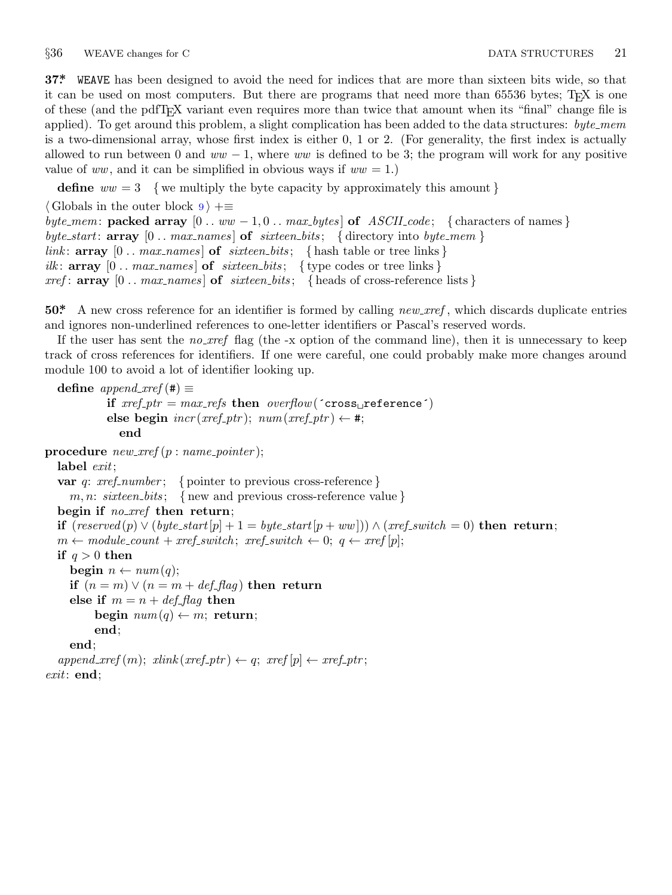<span id="page-6-0"></span>§36 WEAVE changes for C DATA STRUCTURES 21

**37\*.** WEAVE has been designed to avoid the need for indices that are more than sixteen bits wide, so that it can be used on most computers. But there are programs that need more than 65536 bytes; T<sub>E</sub>X is one of these (and the pdfTEX variant even requires more than twice that amount when its "final" change file is applied). To get around this problem, a slight complication has been added to the data structures: *byte mem* is a two-dimensional array, whose first index is either 0, 1 or 2. (For generality, the first index is actually allowed to run between 0 and *ww −* 1, where *ww* is defined to be 3; the program will work for any positive value of  $ww$ , and it can be simplified in obvious ways if  $ww = 1$ .)

**define** *ww* = 3 *{* we multiply the byte capacity by approximately this amount *}*

*⟨* Globals in the outer block 9 *⟩* +*≡ byte\_mem*: **packed array**  $[0 \t ... ww - 1, 0 \t ... max_b \y$  *es* **of**  $ASCH\_code$ ; {characters of names} *byte start*: **array** [0 *. . max names* ] **of** *sixteen bits* ; *{* directory into *byte mem } link*:  $\arctan 0$  *..*  $\arctan 2$  *nax*  $\arctan 2$  **of**  $\arctan 2$  *sixteen\_bits*; { hash table or tree links } *ilk*:  $\text{array}$  [0 . *max\_names*] **of** *sixteen\_bits*; { type codes or tree links }  $xref: \textbf{array} \ [0 \dots \textit{max} \textit{names}] \textbf{of} \ \textit{six} \$  { heads of cross-reference lists }

**50\*.** A new cross reference for an identifier is formed by calling *new xref* , which discards duplicate entries and ignores non-underlined references to one-letter identifiers or Pascal's reserved words.

If the user has sent the *no xref* flag (the -x option of the command line), then it is unnecessary to keep track of cross references for identifiers. If one were careful, one could probably make more changes around module 100 to avoid a lot of identifier looking up.

```
define append\_xref(\#) \equivif xref_ptr = max_refs then overflow('cross_preference')\mathbf{else} begin \text{incr}(xref\_ptr); \text{ num}(xref\_ptr) \leftarrow \#;end
procedure new xref (p : name pointer );
  label exit;
  var q: xref number ; { pointer to previous cross-reference }
    m, n: sixteen bits ; { new and previous cross-reference value }
  begin if no xref then return;
  if (reserved (p) ∨ (byte start[p] + 1 = byte start[p + ww])) ∧ (xref switch = 0) then return;
  m ← module_count + xref_switch; xref_switch ← 0; q ← xref [p];
  if q > 0 then
    begin n \leftarrow num(q);
    if (n = m) \vee (n = m + def_{\mathcal{A}} f_{\mathcal{A}} g) then return
    else if m = n + \text{def\_flag} then
          begin num(q) \leftarrow m; return;
          end;
```

```
end;
```
 $append\_xref(m);$   $xlink(xref\_ptr) \leftarrow q;$   $xref[p] \leftarrow xref\_ptr;$ *exit*: **end**;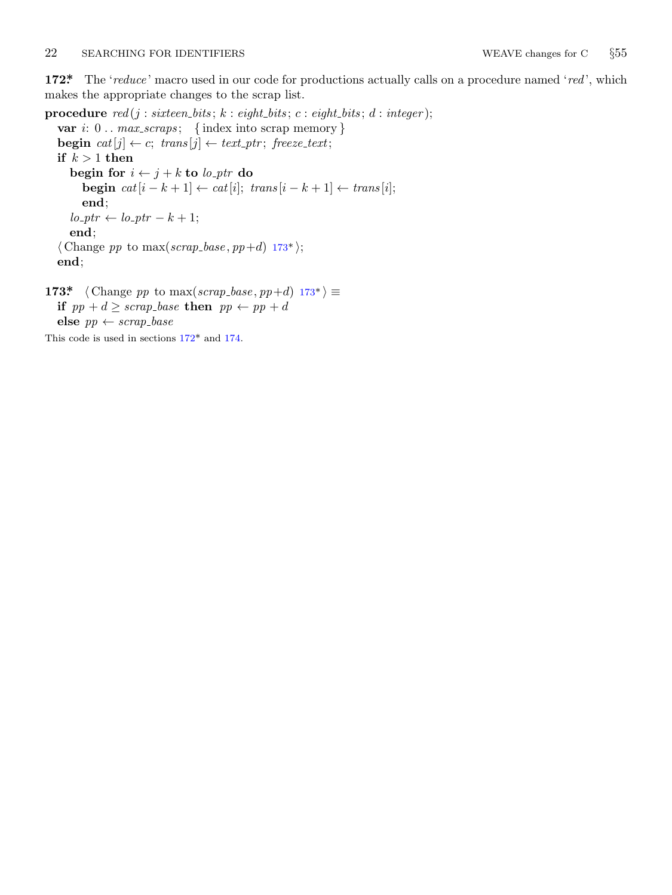### <span id="page-7-0"></span>22 SEARCHING FOR IDENTIFIERS WEAVE changes for C *§*55

**172\*.** The '*reduce* ' macro used in our code for productions actually calls on a procedure named '*red* ', which makes the appropriate changes to the scrap list.

**procedure**  $\text{red}(j : \text{six} = \text{bits}; k : \text{eight\_bits}; c : \text{eight\_bits}; d : \text{integer});$ **var** *i*: 0 *. . max scraps* ; *{* index into scrap memory *}* **begin**  $cat[j] \leftarrow c$ ;  $trans[j] \leftarrow text\_ptr$ ;  $freeze\_text$ ; **if**  $k > 1$  **then**  $\mathbf{b}$ egin for $i \leftarrow j + k$  to  $\mathit{lo\_ptr}$  do **begin**  $cat[i - k + 1]$  ←  $cat[i];$   $trans[i - k + 1]$  ←  $trans[i];$ **end**;  $lo_{\text{p}}tr \leftarrow lo_{\text{p}}tr - k + 1;$ **end**;  $\langle$  Change *pp* to max(*scrap\_base*, *pp*+*d*) 173\* $\rangle$ ; **end**; **173\***  $\langle$  Change *pp* to max(*scrap\_base*, *pp*+*d*) 173\*)  $\equiv$ **if**  $pp + d \geq \text{scrap\_base}$  **then**  $pp \leftarrow pp + d$ 

**else**  $pp \leftarrow \text{scrap\_base}$ 

This code is used in sections 172\* and 174.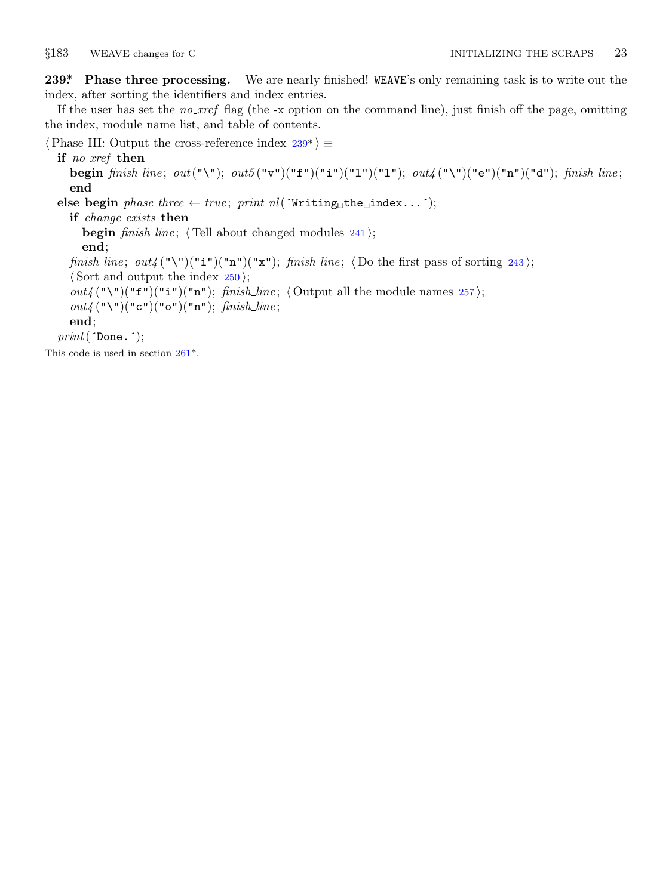<span id="page-8-0"></span>

**239\*. Phase three processing.** We are nearly finished! WEAVE's only remaining task is to write out the index, after sorting the identifiers and index entries.

If the user has set the *no xref* flag (the -x option on the command line), just finish off the page, omitting the index, module name list, and table of contents.

*⟨*Phase III: Output the cross-reference index 239\* *⟩ ≡*

### **if** *no xref* **then**

**begin** *finish line* ; *out*("\"); *out5* ("v")("f")("i")("l")("l"); *out4* ("\")("e")("n")("d"); *finish line* ; **end**

 $\text{else begin } phase\_three \leftarrow true; \; print\_nl(\text{'Writing} \text{the\_index}...);$ 

### **if** *change exists* **then**

**begin** *finish line* ; *⟨* Tell about changed modules 241 *⟩*;

### **end**;

*finish\_line*;  $out_4(\mathbb{T}\{T\})(\mathbb{T}\{T\})(\mathbb{T}\{T\})$ ; *finish\_line*;  $\langle$  Do the first pass of sorting 243 $\rangle$ ;

*⟨* Sort and output the index 250 *⟩*;

*out4* ("\")("f")("i")("n"); *finish\_line*;  $\langle$  Output all the module names 257 $\rangle$ ;

*out4* ("\")("c")("o")("n"); *finish line* ;

# **end**;

*print*(´Done.´);

This code is used in section 261\*.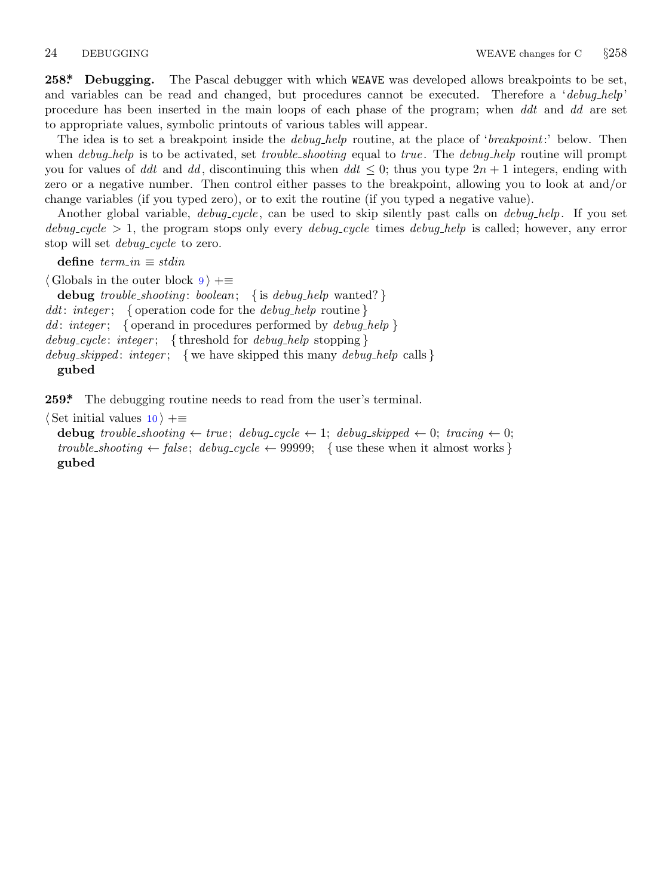<span id="page-9-0"></span>**258\*. Debugging.** The Pascal debugger with which WEAVE was developed allows breakpoints to be set, and variables can be read and changed, but procedures cannot be executed. Therefore a '*debug help*' procedure has been inserted in the main loops of each phase of the program; when *ddt* and *dd* are set to appropriate values, symbolic printouts of various tables will appear.

The idea is to set a breakpoint inside the *debug help* routine, at the place of '*breakpoint*:' below. Then when *debug help* is to be activated, set *trouble shooting* equal to *true* . The *debug help* routine will prompt you for values of *ddt* and *dd*, discontinuing this when  $ddt \leq 0$ ; thus you type  $2n + 1$  integers, ending with zero or a negative number. Then control either passes to the breakpoint, allowing you to look at and/or change variables (if you typed zero), or to exit the routine (if you typed a negative value).

Another global variable, *debug cycle* , can be used to skip silently past calls on *debug help*. If you set *debug cycle >* 1, the program stops only every *debug cycle* times *debug help* is called; however, any error stop will set *debug\_cycle* to zero.

 $\text{define } \textit{term\_in} \equiv \textit{stdin}$ 

*⟨* Globals in the outer block 9 *⟩* +*≡* **debug** *trouble shooting* : *boolean*; *{* is *debug help* wanted? *} ddt*: *integer* ; *{* operation code for the *debug help* routine *} dd* : *integer* ; *{* operand in procedures performed by *debug help } debug cycle* : *integer* ; *{* threshold for *debug help* stopping *} debug skipped* : *integer* ; *{* we have skipped this many *debug help* calls *}* **gubed**

**259\*.** The debugging routine needs to read from the user's terminal.

*⟨* Set initial values 10 *⟩* +*≡*

```
debug trouble shooting ← true ; debug cycle ← 1; debug skipped ← 0; tracing ← 0;
trouble_shooting \leftarrow false; debug_cycle \leftarrow 99999; {use these when it almost works }
gubed
```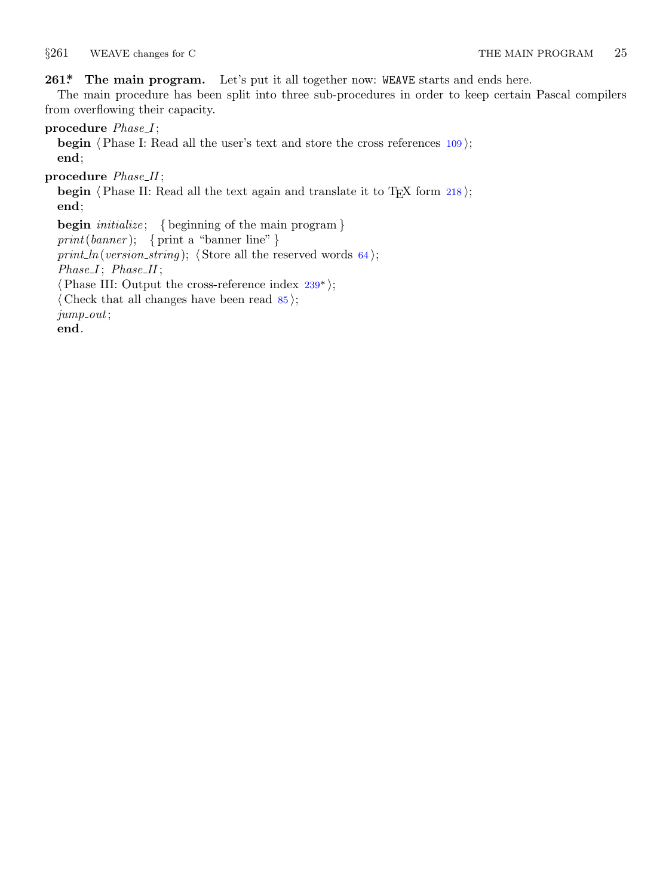<span id="page-10-0"></span>*§*261 WEAVE changes for C THE MAIN PROGRAM 25

### **261\*. The main program.** Let's put it all together now: WEAVE starts and ends here.

The main procedure has been split into three sub-procedures in order to keep certain Pascal compilers from overflowing their capacity.

**procedure** *Phase I* ;

**begin**  $\langle$ *Phase I: Read all the user's text and store the cross references 109*  $\rangle$ *;* **end**;

**procedure** *Phase II* ;

**begin**  $\langle$ *Phase II: Read all the text again and [tra](#page-8-0)nslate it to T<sub>E</sub>X form 218* $\rangle$ *;* **end**; **begin** *initialize* ; *{* beginning of the main program *} print*(*banner* ); *{* print a "banner line" *} print\_ln*(*version\_string*);  $\langle$  Store all the reserved words 64 $\rangle$ ;  $Phase I$ ;  $Phase II$ ; *⟨*Phase III: Output the cross-reference index 239\* *⟩*; *⟨* Check that all changes have been read 85 *⟩*; *jump out*;

**end**.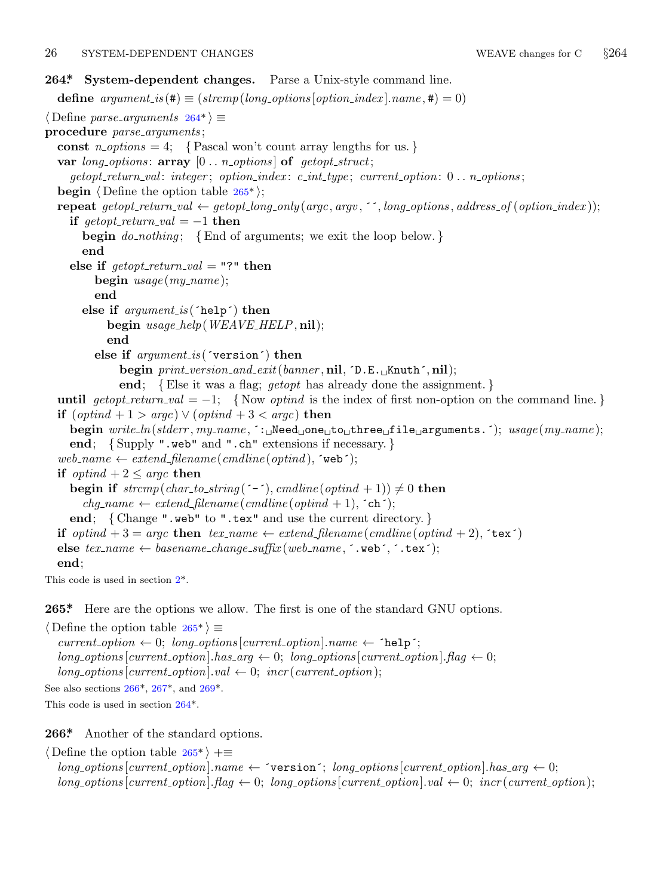### <span id="page-11-0"></span>26 SYSTEM-DEPENDENT CHANGES WEAVE changes for C *§*264

## **264\*. System-dependent changes.** Parse a Unix-style command line. **define**  $argument_is(\textbf{\#}) \equiv (strompllong_options[option\_index].name, \textbf{\#}) = 0)$ *⟨* Define *parse arguments* 264\* *⟩ ≡* **procedure** *parse arguments* ; const  $n\_options = 4$ ; {Pascal won't count array lengths for us.} **var** *long options* : **array** [0 *. . n options* ] **of** *getopt struct*; *getopt return val* : *integer* ; *option index* : *c int type* ; *current option*: 0 *. . n options* ; **begin** *⟨* Define the option table 265\* *⟩*; **repeat** getopt\_return\_val  $\leftarrow$  getopt\_long\_only(argc, argv, '', long\_options, address\_of(option\_index)); **if**  $\text{getopt\_return\_val} = -1$  **then begin** *do nothing* ; *{*End of arguments; we exit the loop below. *}* **end else if**  $\text{getopt}\_\text{return}\_\text{val} = "?"$  **then begin** *usage* (*my name* ); **end else if** *argument is* (´help´) **then begin** *usage help*(*WEAVE HELP,* **nil**); **end else if** *argument is* (´version´) **then begin** *print version and exit*(*banner ,* **nil***,* ´D.E.␣Knuth´*,* **nil**); **end**; *{*Else it was a flag; *getopt* has already done the assignment. *}* **until**  $qetopt\_return\_val = -1$ ; {Now *optind* is the index of first non-option on the command line.} **if** (*optind* + 1 *> argc*) *∨* (*optind* + 3 *< argc*) **then begin** *write ln*(*stderr , my name ,* ´:␣Need␣one␣to␣three␣file␣arguments.´); *usage* (*my name* ); **end**; *{* Supply ".web" and ".ch" extensions if necessary. *}*  $web_name \leftarrow extend\_filename(cmdline(optind), \text{`web'});$ **if**  $optind + 2 \leq argc$  **then begin if**  $strcmp(char_to_string(\text{'}-\text{'}),~cmdline(~optind+1)) \neq 0$  $strcmp(char_to_string(\text{'}-\text{'}),~cmdline(~optind+1)) \neq 0$  $strcmp(char_to_string(\text{'}-\text{'}),~cmdline(~optind+1)) \neq 0$  **then**  $chg_name \leftarrow extend\_filename(\text{c}endline(\text{c}p\text{t}ind + 1), \text{`ch'});$ **end**; *{* Change ".web" to ".tex" and use the current directory. *}* **if**  $\textit{optind} + 3 = \textit{argc}$  **then**  $\textit{tex}$   $\textit{tex}$   $\leftarrow$   $\textit{extend}\text{-}filename(\textit{c}(\textit{ordinate}(\textit{optind} + 2), \textit{`text}^*)$  $\mathbf{else}$   $\mathit{tex}$   $\mathit{hex}$   $\rightarrow$   $\mathit{basename\_change\_suffix(web_name, \cdot, web^{\cdot}, \cdot, \cdot, \cdot, \cdot)}$ ; **end**; This code is used in section 2\*. **265\*.** Here are the [op](#page-12-0)tions [we](#page-12-0) allow. The first is one of the standard GNU options.

*⟨* Define the option table 265\* *⟩ ≡*  $current\_option \leftarrow 0; long\_options[current\_option].name \leftarrow 'help';$  $long\_options[current\_option].has\_arg \leftarrow 0; long\_options[current\_option].flag \leftarrow 0;$  $long\_options[current\_option].val \leftarrow 0; incr(current\_option);$ See also sections  $266^*$ ,  $267^*$ , and  $269^*$ . This code is used in section 264\*.

**266\*.** Another of the standard options.

*⟨* Define the option table 265\* *⟩* +*≡*  $\{long\}$  *options*  $\{current\_option\}$ *name*  $\leftarrow$   $\{version\}$ ;  $\{long\}$  *options*  $\{current\_option\}$ *.has*  $\{arg\leftarrow 0\}$ ;  $long\_options[current\_option]$ *.* $flag \leftarrow 0$ ;  $long\_options[current\_option]$ *.val*  $\leftarrow 0$ ;  $incr(current\_option)$ ;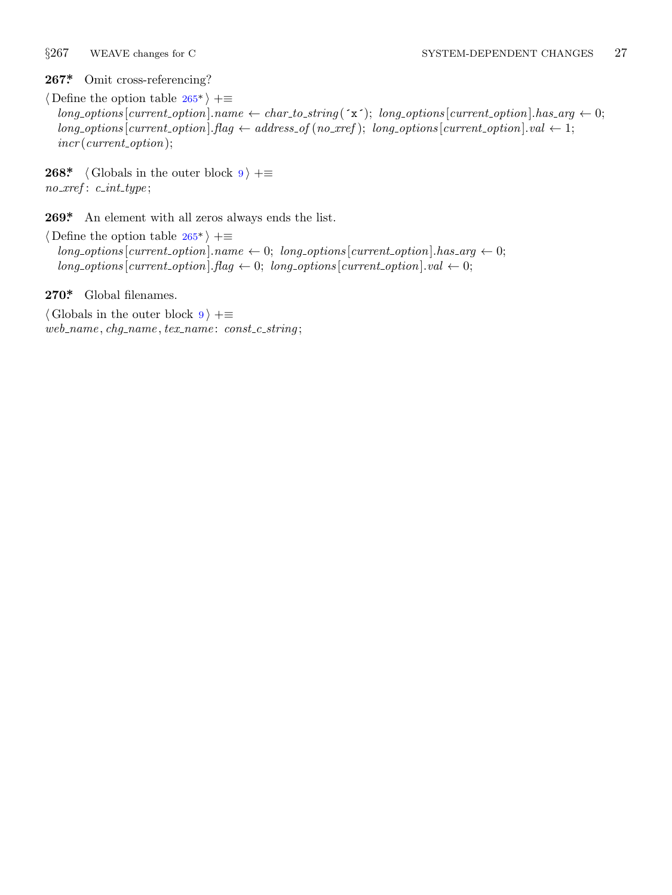<span id="page-12-0"></span>

**267\*.** Omit cross-referencing?

*⟨* Define the option table 265\* *⟩* +*≡*  $long-options[current\_option].name \leftarrow char\_to\_string(\check{\cdot} x^{\check{}}); long\_options[current\_option].has\_arg \leftarrow 0;$  $long\_options[current\_option]$ *.flag*  $\leftarrow$  *address\_of* (*no\_xref*); *long\_options* [*current\_option*]*.val*  $\leftarrow$  1; *incr* (*current option*);

**268\***  $\langle$  Globals in the outer block  $9 \rangle + \equiv$ *no xref* : *c int type* ;

**269\*.** An element with all zeros always ends the list.

*⟨* Define the option table 265\* *⟩* +*≡*  $long\_options[current\_option].name \leftarrow 0; long\_options[current\_option].has\_arg \leftarrow 0;$  $long\_options$  [*current\_option*]*.flag*  $\leftarrow 0$ ; *long\_options* [*current\_option*]*.val*  $\leftarrow 0$ ;

**270\*.** Global filenames.

*⟨* Globals in the outer block 9 *⟩* +*≡ web name , chg name , tex name* : *const c string* ;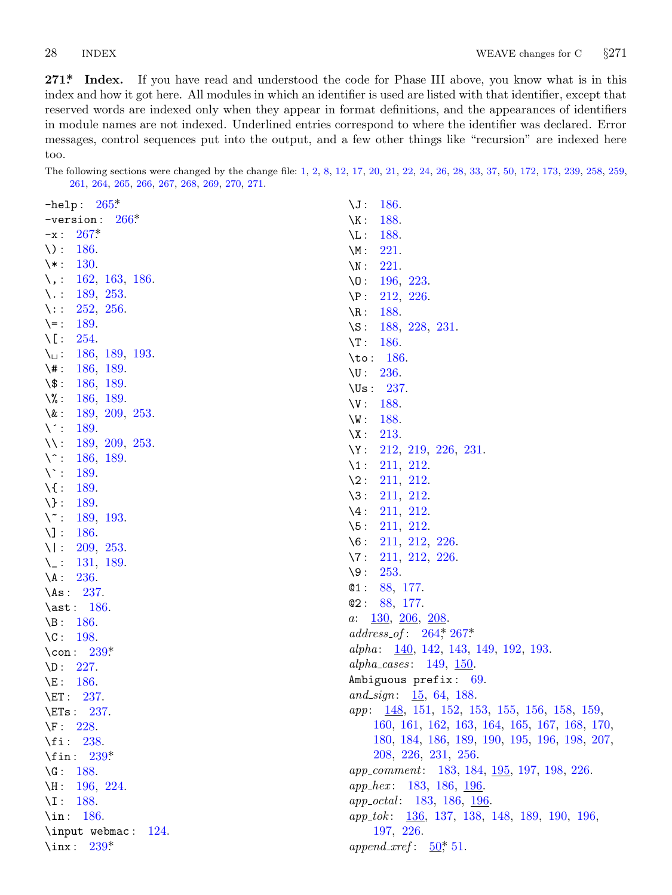<span id="page-13-0"></span>**271\*. Index.** If you have read and underst[ood th](#page-1-0)[e cod](#page-2-0)[e for Phase](#page-3-0) I[II](#page-3-0) [ab](#page-4-0)o[ve](#page-5-0), [you k](#page-6-0)[now wh](#page-7-0)[at i](#page-8-0)[s in](#page-9-0) [this](#page-9-0) inde[x an](#page-10-0)[d how it got](#page-11-0) [here. A](#page-12-0)l[l module](#page-12-0)s in which an identifier is used are listed with that identifier, except that reserved [word](#page-11-0)s are indexed only when they appear in format definitions, and the appearances of identifiers in module na[mes](#page-11-0) are not indexed. Underlined entries correspond to where the identifier was declared. Error mess[ages,](#page-12-0) control sequences put into the output, and a few other things like "recursion" are indexed here too.

The following sections were changed by the change file: 1, 2, 8, 12, 17, 20, 21, 22, 24, 26, 28, 33, 37, 50, 172, 173, 239, 258, 259, 261, 264, 265, 266, 267, 268, 269, 270, 271.

| $-$ help: $265*$                              | $\sqrt{J}$ : 186.                                                  |
|-----------------------------------------------|--------------------------------------------------------------------|
| $-$ version: $266*$                           | $\backslash K$ :<br>188.                                           |
| $267*$<br>$-x$ :                              | $\backslash$ L:<br>188.                                            |
| $\setminus$ :<br>186.                         | $\setminus M$ :<br>221.                                            |
| $\backslash *$ :<br><b>130.</b>               | $\setminus N$ :<br>221.                                            |
| $\setminus$ :<br>162, 163, 186.               | $\setminus 0$ :<br>196, 223.                                       |
| 189, 253.<br>$\setminus$ :                    | $\P$ :<br>212, 226.                                                |
| 252, 256.<br>$\setminus:$                     | $\backslash R$ :<br>188.                                           |
| 189.<br>$\left\langle -\right\rangle$         | 188, 228, 231.<br>$\setminus$ S :                                  |
| $\setminus$ [:<br>254.                        | $\Gamma$ :<br>186.                                                 |
| $\setminus$<br>186, 189, 193.                 | \to: $186$ .                                                       |
| $\backslash$ # :<br>186, 189.                 | $\Upsilon$ : 236.                                                  |
| $\setminus$ \$:<br>186, 189.                  | $\text{Us}: 237.$                                                  |
| $\setminus\%$ :<br>186, 189.                  | V: 188.                                                            |
| $\lambda$ :<br>189, 209, 253.                 | $\setminus W:$<br>188.                                             |
| $\setminus$ :<br>189.                         | $\setminus X$ :<br>213.                                            |
| $\setminus$ :<br>189, 209, 253.               | $\Y: 212, 219, 226, 231.$                                          |
| $\setminus \hat{ }$ :<br>186, 189.            | $\lambda_1: 211, 212.$                                             |
| $\setminus$ :<br>189.                         | $\setminus 2$ :<br>211, 212.                                       |
| $\setminus$ :<br>189.                         | $\backslash 3$ :<br>211, 212.                                      |
| $\setminus$ :<br>189.                         | $\setminus 4$ :<br>211, 212.                                       |
| $\setminus \tilde{\ }$ :<br>189, 193.<br>186. | $\sqrt{5}$ :<br>211, 212.                                          |
| $\setminus$ :<br>$\setminus$ :                | 211, 212, 226.<br>$\setminus 6$ :                                  |
| 209, 253.<br>131, 189.<br>$\setminus_{-}$ :   | $\setminus 7$ :<br>211, 212, 226.                                  |
| $\setminus A$ :<br>236.                       | $\backslash 9:$<br>253.                                            |
| \As: $237$ .                                  | @1:<br>88, 177.                                                    |
| $\ast: 186.$                                  | @2: 88, 177.                                                       |
| 186.<br>$\Bbb B$ :                            | $\frac{130}{206}$ , $\frac{206}{208}$ .<br>a:                      |
| $\setminus C$ :<br>198.                       | $address\_of: 264, 267$                                            |
| \con: $239*$                                  | alpha: $\frac{140}{142}$ , 142, 143, 149, 192, 193.                |
| 227.<br>$\Delta D$ :                          | alpha_cases: $149, 150$ .                                          |
| 186.<br>$\setminus E$ :                       | Ambiguous prefix: 69.                                              |
| $\E_1$ : 237.                                 | and_sign: $15, 64, 188$ .                                          |
| $\E{Ts}: 237.$                                | <i>app</i> : $\frac{148}{151}$ , 152, 153, 155, 156, 158, 159,     |
| $\Gamma$ :<br>228.                            | 160, 161, 162, 163, 164, 165, 167, 168, 170,                       |
| $\setminus$ fi: 238.                          | 180, 184, 186, 189, 190, 195, 196, 198, 207,                       |
| \fin: $239$ <sup>*</sup>                      | 208, 226, 231, 256.                                                |
| 188.<br>$\setminus G$ :                       | <i>app_comment</i> : 183, 184, <u>195</u> , 197, 198, 226.         |
| $\backslash H$ :<br>196, 224.                 | <i>app_hex:</i> 183, 186, 196.                                     |
| $\setminus I$ :<br>188.                       | <i>app_octal:</i> 183, 186, 196.                                   |
| $\in$ 186.                                    | <i>app_tok</i> : $\frac{136}{136}$ , 137, 138, 148, 189, 190, 196, |
| \input webmac: 124.                           | 197, 226.                                                          |
| $\tan: 239^*$                                 | <i>append_xref</i> : $50^*$ , 51.                                  |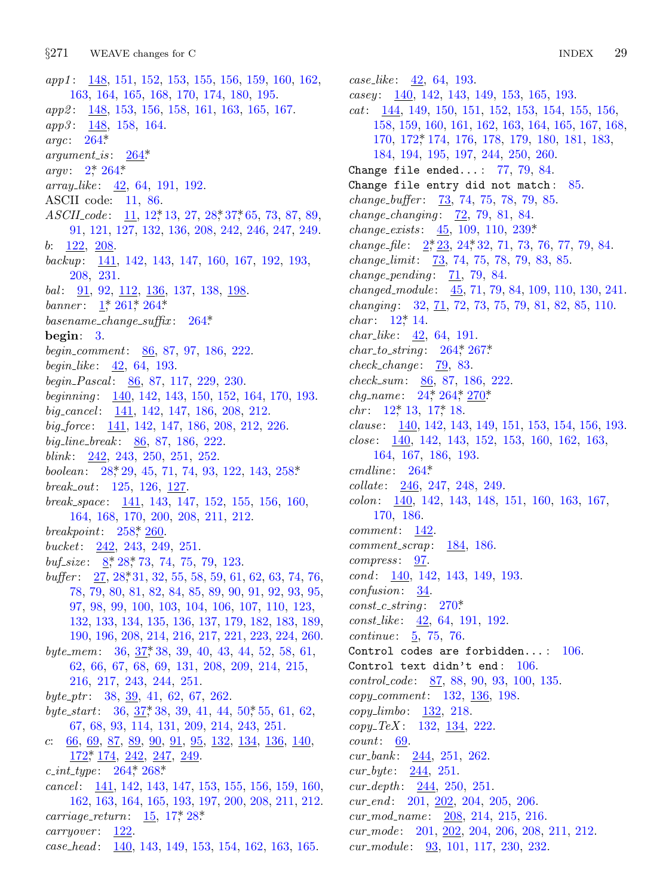*app1*: 148, 151, 152, 153, 155, 156, 159, 160, 162, 163, 164, 165, 168, 170, 174, 180, 195. *app2*: 148, 153, 156, 158, 161, 163, 165, 167. app3: 148, 158, 164. argc:  $264^*$  $argument\_is: \quad \underline{264}^*$  $argv: 2^*264^*$  $array\_like: 42, 64, 191, 192.$ ASCII code: 11, 86.  $ASCII_{code}: 11, 12^*13, 27, 28^*37^*65, 73, 87, 89,$ 91, 121, 127, 132, 136, 208, 242, 246, 247, 249.  $b: \quad \underline{122}, \ \underline{208}.$ backup:  $\frac{141}{142}$ , 142, 143, 147, 160, 167, 192, 193, 208, 231. *bal*:  $91, 92, 112, 136, 137, 138, 198$ banner:  $1, 261, 264$ \*  $basename\_change\_suffix: 264*$ begin:  $3$ . begin\_comment:  $86, 87, 97, 186, 222$ . begin\_like:  $42, 64, 193$ . begin\_Pascal: 86, 87, 117, 229, 230. beginning: 140, 142, 143, 150, 152, 164, 170, 193. big\_cancel: 141, 142, 147, 186, 208, 212. big\_force: 141, 142, 147, 186, 208, 212, 226. big\_line\_break:  $86, 87, 186, 222$ . blink:  $242, 243, 250, 251, 252.$ boolean:  $28, 29, 45, 71, 74, 93, 122, 143, 258$ \*  $break\_out: 125, 126, 127.$ break\_space: 141, 143, 147, 152, 155, 156, 160, 164, 168, 170, 200, 208, 211, 212. breakpoint:  $258$ ,  $260$ . bucket:  $242, 243, 249, 251.$ buf<sub>-size</sub>:  $8$ <sup>\*</sup>,  $28$ <sup>\*</sup>,  $73$ ,  $74$ ,  $75$ ,  $79$ ,  $123$ . buffer:  $27, 28, 31, 32, 55, 58, 59, 61, 62, 63, 74, 76,$ 78, 79, 80, 81, 82, 84, 85, 89, 90, 91, 92, 93, 95, 97, 98, 99, 100, 103, 104, 106, 107, 110, 123, 132, 133, 134, 135, 136, 137, 179, 182, 183, 189, 190, 196, 208, 214, 216, 217, 221, 223, 224, 260. byte\_mem:  $36, 37, 38, 39, 40, 43, 44, 52, 58, 61,$ 62, 66, 67, 68, 69, 131, 208, 209, 214, 215, 216, 217, 243, 244, 251. byte\_ptr:  $38, 39, 41, 62, 67, 262$ . byte\_start:  $36, 37, 38, 39, 41, 44, 50, 55, 61, 62,$ 67, 68, 93, 114, 131, 209, 214, 243, 251. c:  $66, 69, 87, 89, 90, 91, 95, 132, 134, 136, 140,$  $172$ <sup>\*</sup>,  $174$ ,  $242$ ,  $247$ ,  $249$ .  $c\_int\_type: 264, 268$ \* cancel: 141, 142, 143, 147, 153, 155, 156, 159, 160, 162, 163, 164, 165, 193, 197, 200, 208, 211, 212. *carriage\_return*:  $15, 17, 28$ <sup>\*</sup>  $carry over: 122.$ case\_head: 140, 143, 149, 153, 154, 162, 163, 165.

 $case\_like: 42, 64, 193.$  $casey: \underline{140}$ , 142, 143, 149, 153, 165, 193.  $cat:$  144, 149, 150, 151, 152, 153, 154, 155, 156, 158, 159, 160, 161, 162, 163, 164, 165, 167, 168, 170, 172\* 174, 176, 178, 179, 180, 181, 183, 184, 194, 195, 197, 244, 250, 260. Change file ended...:  $77, 79, 84$ . Change file entry did not match: 85. change\_buffer:  $\frac{73}{73}$ , 74, 75, 78, 79, 85. *change\_changing*:  $72, 79, 81, 84$ . *change\_exists:*  $45, 109, 110, 239*$ *change\_file*:  $2, 2, 23, 24, 32, 71, 73, 76, 77, 79, 84.$ *change\_limit:*  $\frac{73}{73}$ , 74, 75, 78, 79, 83, 85.  $change\_pending: 71, 79, 84.$ changed\_module: 45, 71, 79, 84, 109, 110, 130, 241. *changing*:  $32, \underline{71}, 72, 73, 75, 79, 81, 82, 85, 110.$ *char:*  $12^{*}$  14. *char\_like*:  $42, 64, 191$ .  $char\_to\_string: 264, 267$  $check\_change: 79, 83.$  $check\_sum: 86, 87, 186, 222.$ *chg\_name*:  $24$ <sup>\*</sup>,  $264$ <sup>\*</sup>,  $270$ <sup>\*</sup>  $chr: 12^* 13, 17^* 18.$ *clause*:  $140, 142, 143, 149, 151, 153, 154, 156, 193.$ *close*:  $\frac{140}{142}$ , 142, 143, 152, 153, 160, 162, 163, 164, 167, 186, 193.  $cmdline: 264*$  $collate: 246, 247, 248, 249.$  $colon 140, 142, 143, 148, 151, 160, 163, 167,$ 170, 186.  $comment: 142.$  $comment\_scrap: 184, 186.$  $compress: \quad \underline{97}.$  $cond: 140, 142, 143, 149, 193.$  $confusion: \quad \underline{34}.$  $const\_c\_string: 270*$  $const\_like: 42, 64, 191, 192.$ *continue*:  $\frac{5}{2}$ , 75, 76. Control codes are forbidden...:  $106$ . Control text didn't end:  $106$ .  $control\_code: 87, 88, 90, 93, 100, 135.$ copy\_comment: 132, 136, 198. *copy\_limbo*:  $132, 218$ .  $copy\_TeX: 132, 134, 222.$  $count: 69.$  $cur_bank: 244, 251, 262.$ *cur\_byte:*  $244, 251$ .  $cur\_depth: 244, 250, 251.$  $cur\_end$ : 201, 202, 204, 205, 206.  $cur\_mod\_name: \underline{208}, 214, 215, 216.$  $cur$ *mode*: 201, 202, 204, 206, 208, 211, 212.

 $cur_{\text{modul}}$ e: 93, 101, 117, 230, 232.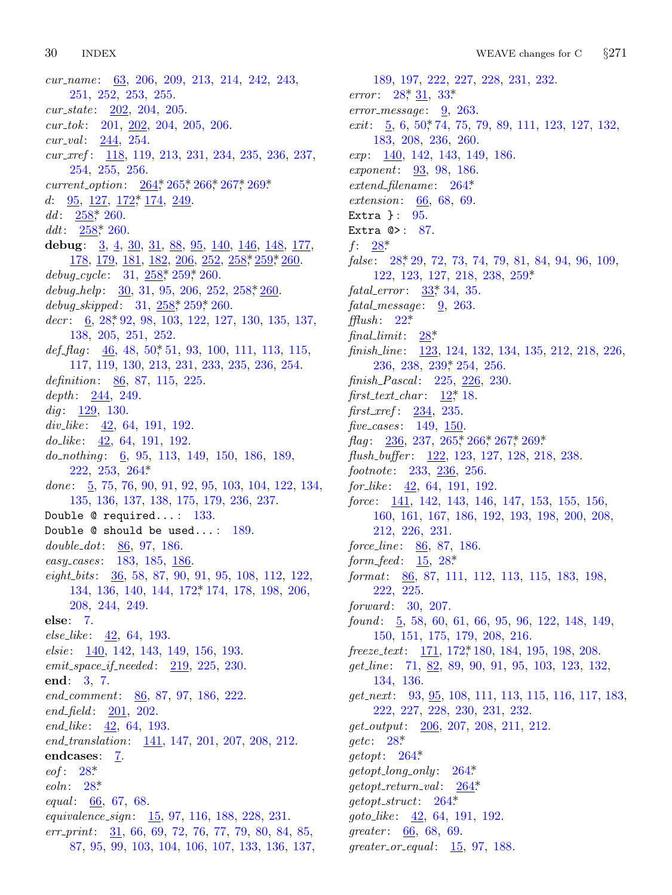30 **INDEX** 

cur\_name:  $63, 206, 209, 213, 214, 242, 243,$ 251, 252, 253, 255.  $cur\_state: 202, 204, 205.$  $cur_t tok: 201, 202, 204, 205, 206.$ *cur\_val*:  $244, 254$ .  $cur\_xref: \quad \underline{118}, \, 119, \, 213, \, 231, \, 234, \, 235, \, 236, \, 237,$ 254, 255, 256. current\_option: 264, 265, 266, 267, 269\* d:  $95, 127, 172, 174, 249$ .  $dd: 258$ <sup>\*</sup>, 260.  $ddt: 258, 260.$ debug:  $3, 4, 30, 31, 88, 95, 140, 146, 148, 177,$ 178, 179, 181, 182, 206, 252, 258, 259, 260.  $debug\_cycle: 31, 258, 259, 260.$ debug\_help:  $\frac{30}{31}$ , 95, 206, 252, 258, 260 debug\_skipped:  $31, 258, 259, 260$ .  $decr: \underline{6}, 28, 92, 98, 103, 122, 127, 130, 135, 137,$ 138, 205, 251, 252.  $def_flag: \underline{46}$ , 48, 50, 51, 93, 100, 111, 113, 115, 117, 119, 130, 213, 231, 233, 235, 236, 254. definition: 86, 87, 115, 225. depth:  $244, 249$ .  $dig: 129, 130.$  $div\_like$ : 42, 64, 191, 192.  $do\_like: \quad 42, \, 64, \, 191, \, 192.$ do\_nothing:  $\underline{6}$ , 95, 113, 149, 150, 186, 189,  $222, 253, 264*$ done:  $\frac{5}{9}$ , 75, 76, 90, 91, 92, 95, 103, 104, 122, 134, 135, 136, 137, 138, 175, 179, 236, 237. Double  $@$  required...:  $133$ . Double  $@$  should be used...: 189. double\_dot: 86, 97, 186. easy\_cases: 183, 185, 186. eight\_bits:  $36, 58, 87, 90, 91, 95, 108, 112, 122$ 134, 136, 140, 144, 172, 174, 178, 198, 206, 208, 244, 249. else: 7.  $else\_like: 42, 64, 193.$ *elsie*: 140, 142, 143, 149, 156, 193.  $emit\_space\_if\_needed: 219, 225, 230.$ end: 3, 7. end\_comment: 86, 87, 97, 186, 222.  $end_{field}$ :  $201, 202$ . *end\_like*:  $42, 64, 193$ . end\_translation:  $\frac{141}{147}$ , 147, 201, 207, 208, 212. endcases: 7.  $eof: 28^*$  $eoln: 28$ <sup>\*</sup> *equal*: <u>66</u>, 67, 68. *equivalence\_sign*:  $\underline{15}$ , 97, 116, 188, 228, 231.  $err\_print:$  31, 66, 69, 72, 76, 77, 79, 80, 84, 85, 87, 95, 99, 103, 104, 106, 107, 133, 136, 137,

189, 197, 222, 227, 228, 231, 232. error:  $28, \frac{31}{31}, 33$ \*  $error\_message: 9, 263.$  $exit: \underline{5}, 6, 50, 74, 75, 79, 89, 111, 123, 127, 132,$ 183, 208, 236, 260. *exp*:  $\frac{140}{142}$ , 142, 143, 149, 186. exponent: 93, 98, 186.  $extend\_filename: 264*$ *extension*:  $66, 68, 69$ . Extra  $\}$ : 95. Extra  $@>$ : 87.  $f: \frac{28}{3}$ false:  $28, 29, 72, 73, 74, 79, 81, 84, 94, 96, 109$ 122, 123, 127, 218, 238, 259\* *fatal\_error*:  $33, 34, 35$ .  $fatal_message: 9, 263.$  $\text{fflush:} \quad 22^*$  $28*$  $final\_limit$ : finish\_line: 123, 124, 132, 134, 135, 212, 218, 226, 236, 238, 239, 254, 256. finish\_Pascal: 225, 226, 230. first\_text\_char:  $12$ <sup>\*</sup>, 18.  $first\_xref: 234, 235.$ five\_cases:  $149, 150$ .  $flag: 236, 237, 265, 266, 267, 269$ flush\_buffer: 122, 123, 127, 128, 218, 238. footnote: 233, 236, 256. for like:  $\frac{42}{5}$ , 64, 191, 192. force:  $\frac{141}{142}$ , 142, 143, 146, 147, 153, 155, 156, 160, 161, 167, 186, 192, 193, 198, 200, 208, 212, 226, 231. force\_line: 86, 87, 186. *form\_feed:*  $15, 28^*$ format:  $86, 87, 111, 112, 113, 115, 183, 198,$ 222, 225.  $forward: 30, 207.$ found: 5, 58, 60, 61, 66, 95, 96, 122, 148, 149, 150, 151, 175, 179, 208, 216. freeze\_text: 171, 172, 180, 184, 195, 198, 208.  $get\_line: 71, 82, 89, 90, 91, 95, 103, 123, 132,$ 134, 136.  $get\_next$ : 93, 95, 108, 111, 113, 115, 116, 117, 183, 222, 227, 228, 230, 231, 232.  $qet\_output$ : 206, 207, 208, 211, 212.  $\text{getc}: \quad 28^*$  $getopt: 264*$  $getopt\_long\_only: 264*$  $qetopt_r return_value: 264*$  $\textit{getopt\_struct}: 264$ . *goto\_like*:  $42, 64, 191, 192.$  $greater: 66, 68, 69.$  $greater\_or\_equal:$   $\frac{15}{15}$ , 97, 188.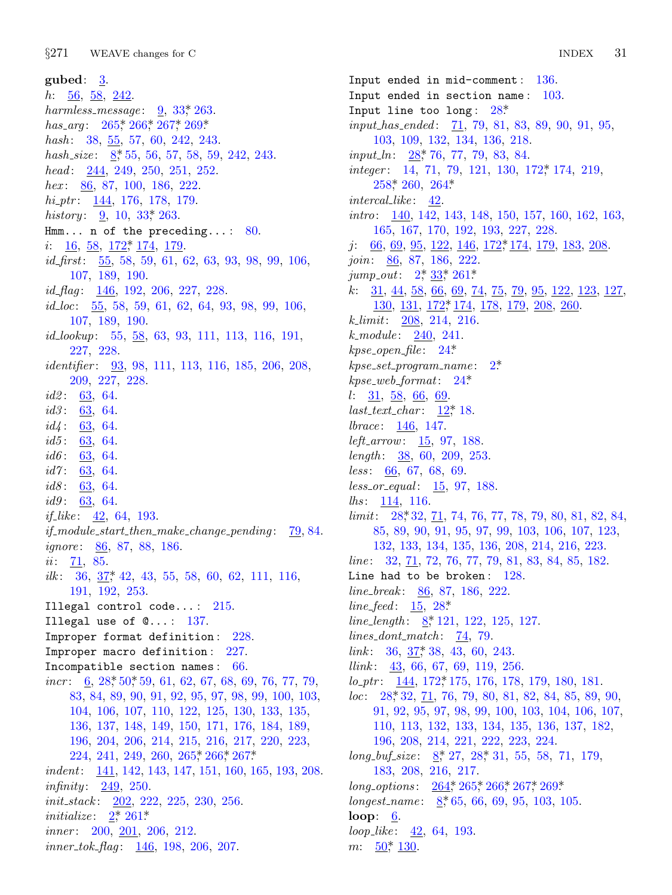$§271$ WEAVE changes for C

gubed:  $3$ .  $h: \frac{56}{9}, \frac{58}{9}, \frac{242}{9}$ harmless\_message:  $9, 33$ <sup>\*</sup> 263. has\_arg:  $265$ <sup>\*</sup>,  $266$ <sup>\*</sup>,  $267$ <sup>\*</sup>,  $269$ <sup>\*</sup> hash:  $38, 55, 57, 60, 242, 243.$ hash\_size:  $8, 55, 56, 57, 58, 59, 242, 243$ . head:  $244, 249, 250, 251, 252.$ hex:  $86, 87, 100, 186, 222.$  $hi_1$  ptr: 144, 176, 178, 179. history:  $\frac{9}{2}$ , 10, 33, 263. Hmm... n of the preceding...:  $80$ .  $i: \quad 16, \; 58, \; 172, \; 174, \; 179.$ *id\_first*:  $\frac{55}{50}$ , 58, 59, 61, 62, 63, 93, 98, 99, 106, 107, 189, 190. *id\_flag*:  $\frac{146}{192}$ ,  $\frac{192}{206}$ ,  $\frac{227}{228}$ .  $id\_loc$ :  $\frac{55}{5}$ , 58, 59, 61, 62, 64, 93, 98, 99, 106, 107, 189, 190.  $id\_lookup: 55, 58, 63, 93, 111, 113, 116, 191,$ 227, 228. *identifier*: 93, 98, 111, 113, 116, 185, 206, 208, 209, 227, 228.  $id2: 63, 64.$  $id3: 63, 64.$  $id4: 63, 64.$  $id5: 63, 64.$  $id6: 63, 64.$  $id7: 63, 64.$  $id8: 63, 64.$  $id9: 63, 64.$ *if\_like*:  $\frac{42}{5}$ , 64, 193.  $if_{\text{1}} \text{module\_start\_then\_make\_change\_pending:} \quad 79,84.$ *ignore*: 86, 87, 88, 186.  $ii: 71, 85.$ *ilk*:  $36, 37$ <sup>\*</sup> 42, 43, 55, 58, 60, 62, 111, 116, 191, 192, 253. Illegal control code...:  $215$ . Illegal use of  $@...: 137$ . Improper format definition: 228. Improper macro definition: 227. Incompatible section names: 66.  $incr$ : 6, 28, 50, 59, 61, 62, 67, 68, 69, 76, 77, 79, 83, 84, 89, 90, 91, 92, 95, 97, 98, 99, 100, 103, 104, 106, 107, 110, 122, 125, 130, 133, 135, 136, 137, 148, 149, 150, 171, 176, 184, 189, 196, 204, 206, 214, 215, 216, 217, 220, 223, 224, 241, 249, 260, 265, 266, 267\* indent:  $\frac{141}{142}$ , 142, 143, 147, 151, 160, 165, 193, 208. infinity:  $249, 250$ .  $init\_stack: 202, 222, 225, 230, 256.$ *initialize*:  $2^*$ ,  $261^*$ *inner*:  $200, 201, 206, 212.$  $inner\_tok\_flag: \underline{146}$ , 198, 206, 207.

Input ended in mid-comment: - 136. Input ended in section name:  $103$ . Input line too long:  $28$ <sup>\*</sup> *input has ended:*  $\boxed{71}$ , 79, 81, 83, 89, 90, 91, 95, 103, 109, 132, 134, 136, 218. *input\_ln:*  $28, 76, 77, 79, 83, 84$ . integer: 14, 71, 79, 121, 130, 172, 174, 219,  $258$ <sup>\*</sup> 260, 264<sup>\*</sup>  $interval$ .like:  $42$ . *intro*:  $\frac{140}{142}$ , 142, 143, 148, 150, 157, 160, 162, 163, 165, 167, 170, 192, 193, 227, 228.  $j:$  66, 69, 95, 122, 146, 172<sup>\*</sup>, 174, 179, 183, 208. join: 86, 87, 186, 222. jump\_out:  $2^*33^*261^*$ k:  $31, 44, 58, 66, 69, 74, 75, 79, 95, 122, 123, 127,$ 130, 131, 172, 174, 178, 179, 208, 260  $k\_limit: 208, 214, 216.$  $k$ *module*:  $240, 241$ .  $kpse\_open\_file: 24*$  $k pse\_set\_program\_name$ :  $2^*$  $kpse_$ -web<sub>-format:</sub> 24\*  $l: \frac{31}{58}, \frac{58}{66}, \frac{69}{69}.$  $last\_text\_char: 12^*18.$ *lbrace*:  $146, 147.$ *left\_arrow:*  $15, 97, 188$ . length:  $\frac{38}{50}$ , 60, 209, 253.  $less: 66, 67, 68, 69.$ less\_or\_equal: 15, 97, 188. *lhs*: 114, 116. *limit*:  $28, 32, 71, 74, 76, 77, 78, 79, 80, 81, 82, 84,$ 85, 89, 90, 91, 95, 97, 99, 103, 106, 107, 123, 132, 133, 134, 135, 136, 208, 214, 216, 223. *line*:  $32, 71, 72, 76, 77, 79, 81, 83, 84, 85, 182.$ Line had to be broken:  $128$ . line\_break:  $86, 87, 186, 222$ . *line\_feed*:  $15, 28^*$ line\_length:  $8, 121, 122, 125, 127$ . *lines\_dont\_match:*  $\frac{74}{79}$ . *link*:  $36, 37, 38, 43, 60, 243$ . *llink*:  $43, 66, 67, 69, 119, 256.$  $lo_1$  ptr:  $\frac{144}{172}$ , 172, 175, 176, 178, 179, 180, 181.  $loc: 28, 32, 71, 76, 79, 80, 81, 82, 84, 85, 89, 90,$ 91, 92, 95, 97, 98, 99, 100, 103, 104, 106, 107, 110, 113, 132, 133, 134, 135, 136, 137, 182, 196, 208, 214, 221, 222, 223, 224.  $long_buf\_size:$  8\* 27, 28\* 31, 55, 58, 71, 179, 183, 208, 216, 217.  $long\_options: 264$ <sup>\*</sup>,  $265$ <sup>\*</sup>,  $266$ <sup>\*</sup>,  $267$ <sup>\*</sup>,  $269$ <sup>\*</sup> longest\_name:  $8,65,66,69,95,103,105$ . loop:  $6.$ loop\_like:  $42, 64, 193$ .

 $m: \frac{50}{50}$ , 130.

31 **INDEX**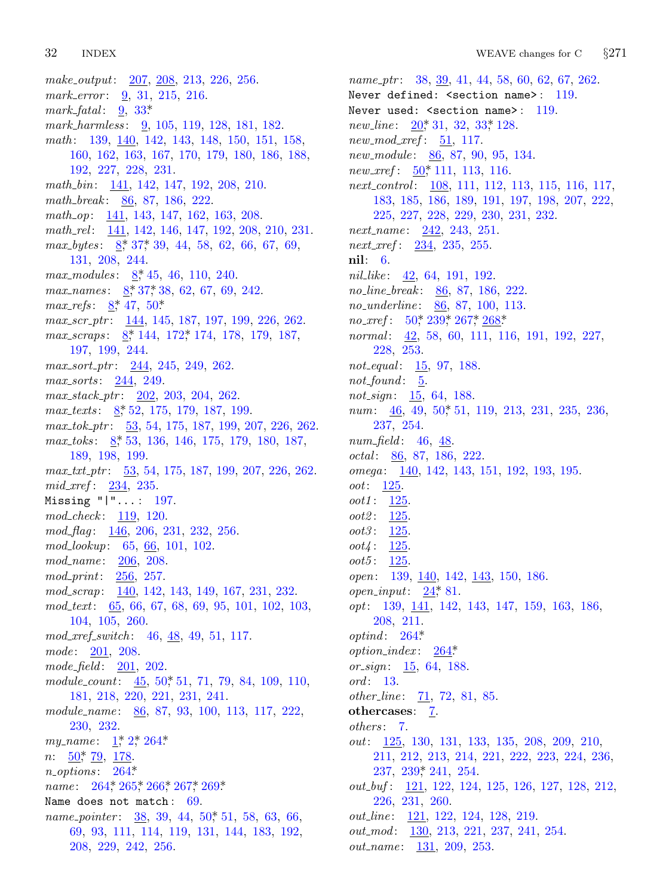*make output*: 207, 208, 213, 226, 256. *mark error* : 9, 31, 215, 216. *mark fatal* : 9, 33\*. *mark harmless* : 9, 105, 119, 128, 181, 182. *math* : 139, 140, 142, 143, 148, 150, 151, 158, 160, 162[,](#page-1-0) 1[63,](#page-6-0) 167, 170, 179, 180, 186, 188, 192, 227, 228, 231. *math bin*: 141, [1](#page-1-0)42, 147, 192, 208, 210. *math break* : [86](#page-1-0), [87](#page-6-0), 186, 222. *math op*: [14](#page-1-0)1, 14[3,](#page-6-0) 147, 162, 163, 208. *math rel* : 141, 142, 146, 147, 192, 208, 210, 231. *max\_bytes*:  $8, 37, 39, 44, 58, 62, 66, 67, 69,$  $8, 37, 39, 44, 58, 62, 66, 67, 69,$  $8, 37, 39, 44, 58, 62, 66, 67, 69,$ 131, 208, 244. *max modules* : 8\*, 45, 46, 110, 240. *max\_names* :  $8, 37, 38, 62, 67, 69, 242$ . *max\_refs*:  $8, 47, 50$ \* *max scr ptr* : 144, 145, 187, 197, 199, 226, 262. *max scraps* : 8\*, 144, 172\*, 174, 178, 179, 187, 197, 19[9,](#page-1-0) 244. *max sort ptr* : 244, 245, 249, 262. *max sorts* : 244, 249. *max stack ptr* : 202, 203, 204, 262. *max texts* : 8\*, 52, 175, 179, 187, 199. *max tok ptr* : 53, 54, 175, 187, 199, 207, 226, 262. *max toks* : 8\*, 53, 136, 146, 175, 179, 180, 187, 189, 198, 199. *max txt ptr* : 53, 54, 175, 187, 199, 207, 226, 262. *mid xref* : 234, 235. Missing "|"... : 197. *mod check* : 119, 120. *mod flag* : 146, 206, 231, 232, 256. *mod lookup*: 65, 66, 101, 102. *mod name* : 206, 208. *mod print*: 256, 257. *mod scrap*: 140, 1[42,](#page-6-0) 143, 149, 167, 231, 232. *mod text*: 65, 66, 67, 68, 69, 95, 101, 102, 103, 104, 105, 260. *mod xref switch* : 46, 48, 49, 51, 117. *mode* : 201[,](#page-1-0) 2[08](#page-1-0). *mod[e](#page-6-0) field* : 201, 202. *module count*[:](#page-11-0) 45, 50\*, 51, 71, 79, 84, 109, 110, 181, [218](#page-11-0), [220](#page-11-0), [221](#page-11-0), [231](#page-12-0), [241](#page-12-0). *module name* : 86, 87, 93, 100, 113, 117, 222, 230, 232. *my\_name*: 1,\* 2,\* 264\* *n*:  $\frac{50}{7}$ ,  $\frac{79}{7}$ ,  $\frac{178}{7}$ . *n options* : 264\*. *name* : 264, 265, 266, 267, 269\* Name does not match: 69. *name\_pointer* : 38, 39, 44, 50\*, 51, 58, 63, 66, 69, 93, 111, 114, 119, 131, 144, 183, 192, 208, 229, 242, 256.

*name ptr* : [38](#page-6-0), 39, 41, 44, 58, 60, 62, 67, 262. Never defined: <section name>: 119. Never used: < section name>: 119. *new\_line*:  $20^*$ , 31, 32, 33, 128. *new mod xref* : 51, 117. *new module* : 86, 87, 90, 95, 134. *new xref* : 50\*, 111, 113, 116. *next control* : 108, 111, 112, 113, 115, 116, 117, 183, 185, 186, 189, 191, 197, 198, 207, 222, 225, 227, 228, 229, 230, 231, 232. *next name* [:](#page-6-0) [242,](#page-8-0) [243,](#page-12-0) [251.](#page-12-0) *next xref* : 234, 235, 255. **nil**: 6. *nil like* : 42, 64, 191, 192. *no line break* : 86, 87, 186, 222. *no underline* : 86, 87, 100, 113. *no xref* : 50\*, 2[39\\*,](#page-6-0) 267\*, 268\*. *normal* : 42, 58, 60, 111, 116, 191, 192, 227, 228, 253. *not equal* : 15, 97, 188. *not found* : 5. *not sign*: 15, 64, 188. *num*: 46, 49, 50, 51, 119, 213, 231, 235, 236, 237, 254. *num field* : 46, 48. *octal* : 86, 87, 186, 222. *omega* : 140, 142, 143, 151, 192, 193, 195. *oot*: 125. *oot1* : 125. *oot2* : 125. *oot3* : 125. *oot4* : 1[25.](#page-11-0) *oot5* : 125. *open*: 139, 140, 142, 143, 150, 186. *open input*: 24\*, 81. *opt*: 139, 141, 142, 143, 147, 159, 163, 186, 208, 211. *optind* : 264\*. *option index* : 264\*. *or sign*: 15, 64, 188. *ord* : 13. *other\_line*: 71, 72, 81, 85. **othercases**: 7. *others* : 7. *out*: 125, 130, 131, 133, 135, 208, 209, 210, 211, 212, 213, 214, 221, 222, 223, 224, 236, 237, 239\*, 241, 254. *out buf* : 121, 122, 124, 125, 126, 127, 128, 212, 226, 231, 260. *out\_line*: <u>121</u>, 122, 124, 128, 219. *out mod* : 130, 213, 221, 237, 241, 254. *out name* : 131, 209, 253.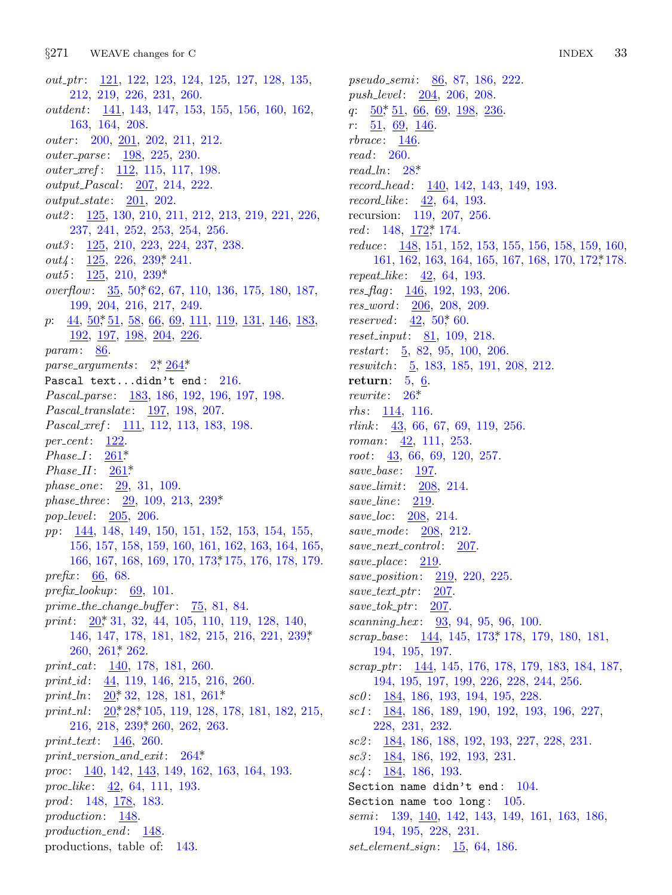$§271$ WEAVE changes for C

out\_ptr: 121, 122, 123, 124, 125, 127, 128, 135, 212, 219, 226, 231, 260. *outdent*: 141, 143, 147, 153, 155, 156, 160, 162, 163, 164, 208. *outer*: 200, 201, 202, 211, 212. outer\_parse: 198, 225, 230. *outer\_xref*: 112, 115, 117, 198. *output\_Pascal:* 207, 214, 222.  $output\_state: 201, 202.$ *out2*: 125, 130, 210, 211, 212, 213, 219, 221, 226, 237, 241, 252, 253, 254, 256. out3: 125, 210, 223, 224, 237, 238.  $out4: 125, 226, 239, 241.$  $out5: 125, 210, 239*$ *overflow:*  $\frac{35}{25}$ ,  $\frac{50^{*}62}{67}$ ,  $\frac{67}{110}$ ,  $\frac{136}{136}$ ,  $\frac{175}{180}$ ,  $\frac{187}{67}$ 199, 204, 216, 217, 249.  $p: \underline{44}, \underline{50}, \underline{51}, \underline{58}, \underline{66}, \underline{69}, \underline{111}, \underline{119}, \underline{131}, \underline{146}, \underline{183},$  $192, 197, 198, 204, 226$  $param: 86.$ parse\_arguments:  $2, \frac{264}{3}$ Pascal text...didn't end:  $216$ . Pascal\_parse: 183, 186, 192, 196, 197, 198. Pascal\_translate: 197, 198, 207. *Pascal\_xref*: 111, 112, 113, 183, 198.  $per\_cent: 122$ .  $Phase I: 261*$  $Phase II: 261*$ phase\_one:  $29, 31, 109$ . *phase\_three:*  $29, 109, 213, 239*$ *pop\_level:* 205, 206. pp: 144, 148, 149, 150, 151, 152, 153, 154, 155, 156, 157, 158, 159, 160, 161, 162, 163, 164, 165, 166, 167, 168, 169, 170, 173, 175, 176, 178, 179. *prefix*: 66, 68.  $prefix\_lookup: 69, 101.$  $prime\_the\_change\_buffer:$   $\frac{75}{5}, 81, 84.$ print: 20, 31, 32, 44, 105, 110, 119, 128, 140, 146, 147, 178, 181, 182, 215, 216, 221, 239,\*  $260, 261$ \* 262. print\_cat: 140, 178, 181, 260. print id:  $44, 119, 146, 215, 216, 260.$ print\_ln:  $20^*32$ , 128, 181, 261\* print\_nl:  $20$ <sup>\*</sup>, 28<sup>\*</sup>, 105, 119, 128, 178, 181, 182, 215,  $216, 218, 239, 260, 262, 263.$ print\_text:  $146, 260$ .  $print\_version\_and\_exit: 264*$ proc: 140, 142, 143, 149, 162, 163, 164, 193. proc<sub>like</sub>: 42, 64, 111, 193. prod: 148, 178, 183. production:  $148$ .  $production\_end:$  148. productions, table of: 143.

pseudo\_semi: 86, 87, 186, 222. push\_level: 204, 206, 208. q:  $50^{\ast}$  51, 66, 69, 198, 236.  $\frac{51}{9}$ ,  $\frac{69}{146}$ .  $r$ :  $rbrace: 146$ .  $read: 260.$ read\_ln:  $28^*$  $record\_head: 140, 142, 143, 149, 193.$  $record\_like: \frac{42}{500}$ , 64, 193. recursion: 119, 207, 256. red: 148, 172, 174. reduce:  $148, 151, 152, 153, 155, 156, 158, 159, 160,$ 161, 162, 163, 164, 165, 167, 168, 170, 172, 178. *repeat\_like*:  $42, 64, 193$ .  $res_{flag}: 146, 192, 193, 206.$ res\_word: 206, 208, 209. *reserved*:  $42, 50, 60$ . *reset\_input*:  $81, 109, 218$ .  $restart: 5, 82, 95, 100, 206.$ reswitch: 5, 183, 185, 191, 208, 212. return:  $5, 6$ . rewrite:  $26^*$  $rhs: 114, 116.$ *rlink*:  $43, 66, 67, 69, 119, 256.$ *roman*:  $42$ , 111, 253.  $root: \frac{43}{56}, 66, 69, 120, 257.$  $save\_base: 197.$ save\_limit:  $208$ , 214. save\_line:  $219$ . save\_loc: 208, 214. save\_mode: 208, 212.  $save{\_}next{\_}control: \quad \underline{207}.$ save\_place:  $219$ . *save\_position:* 219, 220, 225.  $save\_text\_ptr$ : 207.  $save\_tok\_ptr: 207$ . scanning\_hex:  $93, 94, 95, 96, 100$ . scrap\_base: 144, 145, 173, 178, 179, 180, 181, 194, 195, 197. scrap\_ptr:  $\frac{144}{145}$ , 145, 176, 178, 179, 183, 184, 187, 194, 195, 197, 199, 226, 228, 244, 256.  $\textit{sc0}:$  184, 186, 193, 194, 195, 228.  $sc1: 184, 186, 189, 190, 192, 193, 196, 227,$ 228, 231, 232.  $\textit{sc2}:$  184, 186, 188, 192, 193, 227, 228, 231.  $\sec 3$ : 184, 186, 192, 193, 231.  $\textit{sc}_4$ : 184, 186, 193. Section name didn't end:  $104$ . Section name too long:  $105$ . *semi*: 139, 140, 142, 143, 149, 161, 163, 186, 194, 195, 228, 231.

 $set\_element\_sign: 15, 64, 186.$ 

33 **INDEX**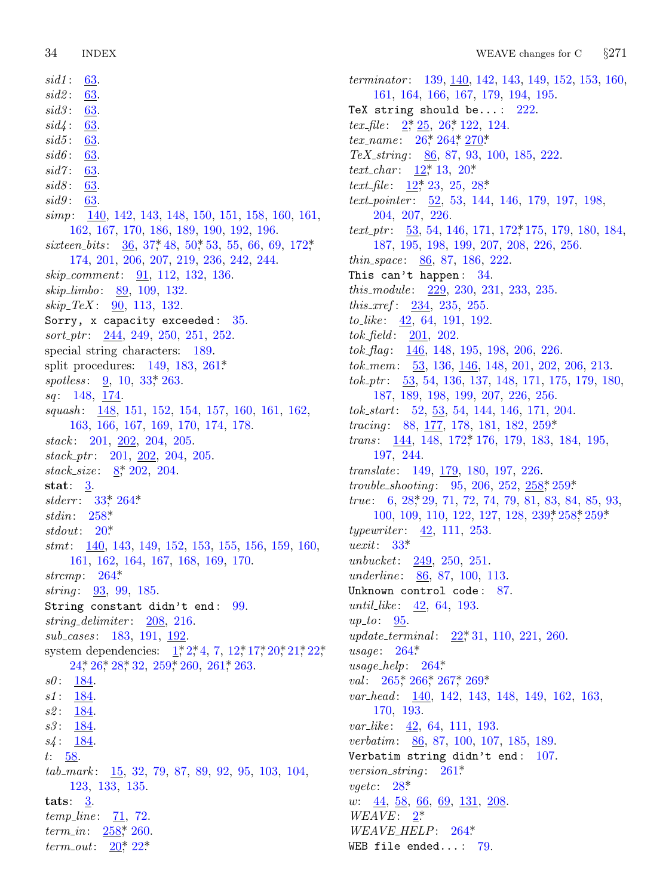$sid1$  : 63.  $sid2$  : 63.  $sid3:$ 63.  $63.$  $sid4$ :  $sid5:$ <u>63</u>.  $sid6$ : 63.  $sid7: 63.$  $sid8$  : 63. *sid9*: 63. *simp*: 140, 142, 143, 148, 150, 151, 158, 160, 161, 162, 167, 170, 186, 189, 190, 192, 196. sixteen\_bits:  $36, 37, 48, 50, 53, 55, 66, 69, 172,$ 174, 201, 206, 207, 219, 236, 242, 244. *skip\_comment:* 91, 112, 132, 136.  $skip\_limbo: 89, 109, 132.$  $skip\_TeV: 90, 113, 132.$ Sorry, x capacity exceeded: 35.  $sort\_ptr: 244, 249, 250, 251, 252.$ special string characters: 189. split procedures: 149, 183, 261\* spotless:  $\frac{9}{20}$ , 10, 33, 263. sq: 148, 174. squash: 148, 151, 152, 154, 157, 160, 161, 162, 163, 166, 167, 169, 170, 174, 178. stack:  $201, 202, 204, 205$ .  $stack\_ptr: 201, 202, 204, 205.$ stack\_size:  $8,202,204$ . stat:  $\frac{3}{2}$ . stderr:  $33^* 264^*$ stdin:  $258*$ stdout:  $20^*$ stmt: 140, 143, 149, 152, 153, 155, 156, 159, 160, 161, 162, 164, 167, 168, 169, 170. strcmp:  $264*$ *string*:  $93, 99, 185$ . String constant didn't end: 99. string\_delimiter:  $208$ , 216. sub\_cases: 183, 191, 192. system dependencies:  $1, 2, 4, 7, 12, 17, 20, 21, 22,$  $24$ <sup>\*</sup>,  $26$ <sup>\*</sup>,  $28$ <sup>\*</sup>,  $32$ ,  $259$ <sup>\*</sup>,  $260$ ,  $261$ <sup>\*</sup>,  $263$ .  $s0: 184.$  $s1: 184$ .  $s2: 184$  $s3: 184.$  $s4: 184.$  $t: 58.$  $tab\_mark: \underline{15}$ , 32, 79, 87, 89, 92, 95, 103, 104, 123, 133, 135. tats:  $3.$ *temp\_line*:  $71, 72$ . *term\_in*:  $258$ <sup>\*</sup>, 260. *term\_out:*  $20^*$ ,  $22^*$ 

terminator: 139, 140, 142, 143, 149, 152, 153, 160, 161, 164, 166, 167, 179, 194, 195. TeX string should be...:  $222$ . *tex\_file*:  $2, 25, 26, 122, 124$ .  $tex\_name: 26^*264^*270^*$ TeX\_string:  $86, 87, 93, 100, 185, 222$ . *text\_char:*  $12$ <sup>\*</sup>, 13, 20<sup>\*</sup> text\_file:  $12^*23$ , 25, 28\* *text\_pointer*:  $\frac{52}{52}$ , 53, 144, 146, 179, 197, 198, 204, 207, 226.  $text\_ptr$ :  $\frac{53}{54}$ , 54, 146, 171, 172, 175, 179, 180, 184, 187, 195, 198, 199, 207, 208, 226, 256. *thin\_space*:  $86, 87, 186, 222$ . This can't happen:  $34$ . this\_module:  $229, 230, 231, 233, 235$ . *this\_xref*:  $234, 235, 255$ . *to\_like*:  $42, 64, 191, 192$ .  $tok_{\text{th}}/1: 201, 202.$ tok\_flag:  $\frac{146}{148}$ , 148, 195, 198, 206, 226.  $tok_mem: 53, 136, 146, 148, 201, 202, 206, 213.$  $tok_1 \cdot ptr$ : 53, 54, 136, 137, 148, 171, 175, 179, 180, 187, 189, 198, 199, 207, 226, 256. tok\_start: 52, 53, 54, 144, 146, 171, 204. tracing: 88, 177, 178, 181, 182, 259\* trans: 144, 148, 172, 176, 179, 183, 184, 195, 197, 244. translate: 149, 179, 180, 197, 226. trouble\_shooting:  $95, 206, 252, 258, 259$ \*  $true: 6, 28, 29, 71, 72, 74, 79, 81, 83, 84, 85, 93,$ 100, 109, 110, 122, 127, 128, 239, 258, 259\* *typewriter*:  $42, 111, 253$ .  $\textit{uexit}: 33*$ unbucket:  $249, 250, 251.$ *underline*: 86, 87, 100, 113. Unknown control code: 87. *until\_like*:  $42, 64, 193$ .  $up\_to: 95$ . *update\_terminal:* 22,\*31, 110, 221, 260.  $usage: 264*$  $usage\_help: 264*$ val:  $265$ \* 266\* 267\* 269\* var\_head: 140, 142, 143, 148, 149, 162, 163, 170, 193. *var\_like*: 42, 64, 111, 193. *verbatim:*  $86, 87, 100, 107, 185, 189.$ Verbatim string didn't end:  $107$ . version\_string:  $261*$  $vgetc: 28*$  $w: \underline{44}, \underline{58}, \underline{66}, \underline{69}, \underline{131}, \underline{208}$  $WEAVE: 2^*$  $WEAVE{}$ -HELP: 264\* WEB file ended...:  $79$ .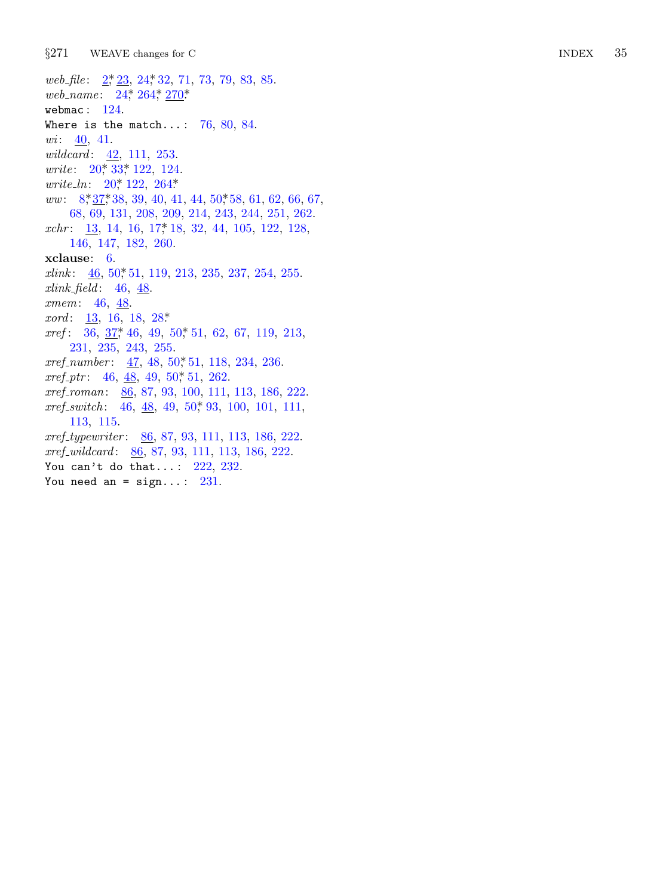$§271$ WEAVE changes for C

web\_file: 2, 23, 24, 32, 71, 73, 79, 83, 85. web\_name: 24, 264, 270\* webmac:  $124$ . Where is the match...:  $76, 80, 84$ . *wi*:  $\frac{40}{41}$ . *wildcard*:  $42, 111, 253$ . *write*:  $20^*$ ,  $33^*$ ,  $122$ ,  $124$ . *write\_ln:*  $20^*$  122, 264\*  $ww: 8,37,38,39,40,41,44,50,58,61,62,66,67,$ 68, 69, 131, 208, 209, 214, 243, 244, 251, 262.  $xchr: 13, 14, 16, 17, 18, 32, 44, 105, 122, 128,$ 146, 147, 182, 260.  $xclause: 6.$  $xlink: 46, 50, 51, 119, 213, 235, 237, 254, 255.$  $xlink_{\text{th}} = 46, 48$ . xmem: 46, 48.  $xord: 13, 16, 18, 28*$  $xref: 36, 37, 46, 49, 50, 51, 62, 67, 119, 213,$ 231, 235, 243, 255. xref\_number:  $47, 48, 50, 51, 118, 234, 236$ .  $xref\_ptr$ : 46, 48, 49, 50, 51, 262. xref\_roman: 86, 87, 93, 100, 111, 113, 186, 222.  $xref\_switch:$  46,  $48$ , 49, 50, 93, 100, 101, 111, 113, 115. xref\_typewriter: 86, 87, 93, 111, 113, 186, 222.  $xref\_wildcard: 86, 87, 93, 111, 113, 186, 222.$ You can't do that...:  $222, 232$ . You need an =  $sign...: 231$ .

35 **INDEX**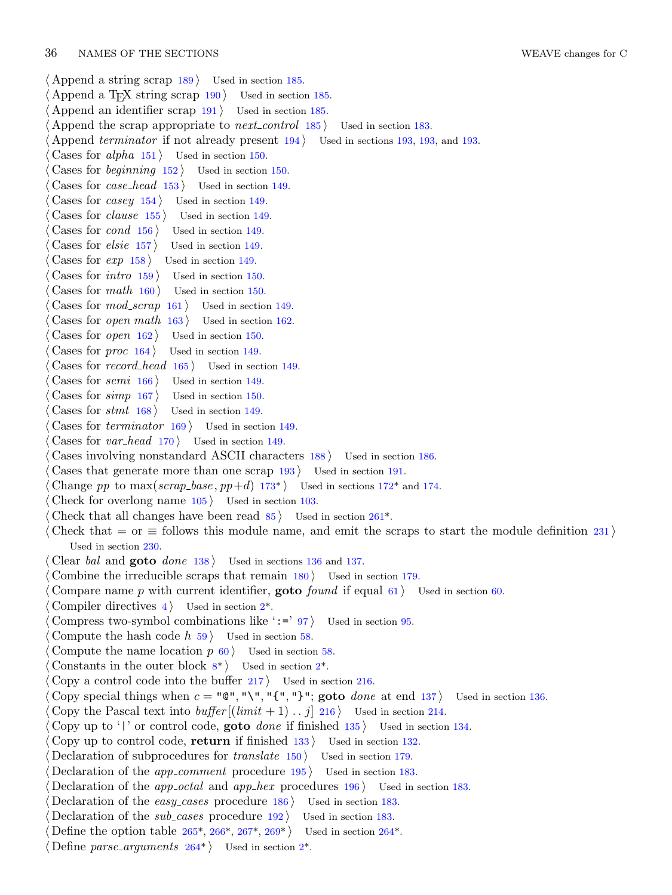### 36 NAMES OF THE SECTIONS WEAVE changes for C

*⟨* Append a string scrap 189 *⟩* Used in section 185. *⟨* Append a TEX string scrap <sup>190</sup> *⟩* Used in section 185. *⟨* Append an identifier scrap 191 *⟩* Used in section 185. *⟨* Append the scrap appropriate to *next control* 185 *⟩* Used in section 183. *⟨* Append *terminator* if not already present 194 *⟩* Used in sections 193, 193, and 193. *⟨* Cases for *alpha* 151 *⟩* Used in section 150. *⟨* Cases for *beginning* 152 *⟩* Used in section 150. *⟨* Cases for *case head* 153 *⟩* Used in section 149. *⟨* Cases for *casey* 154 *⟩* Used in section 149. *⟨* Cases for *clause* 155 *⟩* Used in section 149. *⟨* Cases for *cond* 156 *⟩* Used in section 149. *⟨* Cases for *elsie* 157 *⟩* Used in section 149. *⟨* Cases for *exp* 158 *⟩* Used in section 149. *⟨* Cases for *intro* 159 *⟩* Used in section 150. *⟨* Cases for *math* 160 *⟩* Used in section 150. *⟨* Cases for *mod scrap* 161 *⟩* Used in section 149. *⟨* Cases for *open math* 163 *⟩* Used in section 162. *⟨* Cases for *open* 162 *⟩* Used in section 150. *⟨* Cases for *proc* 164 *⟩* Used in section 149. *⟨* Cases for *record head* 165 *⟩* Used in section 149. *⟨* Cases for *semi* 166 *⟩* Used in section 149. *⟨* Cases for *simp* 167 *⟩* Used in section 15[0.](#page-7-0) *⟨* Cases for *stmt* 168 *⟩* Used in section 149. *⟨* Cases for *terminator* 169 *⟩* Used in section 149. *⟨* Cases for *var head* 170 *⟩* Used in section 149. *⟨* Cases involving nonstandard ASCII characters 188 *⟩* Used in section 186. *Cases that generate more than one scrap*  $193$  *Vsed in section 191. Change pp* to max(*scrap\_base*,  $pp+d$ ) 173<sup>\*</sup>) Used in sections 172<sup>\*</sup> and 174. *⟨* Check for overlong name 105 *⟩* Used in section 103. *Check that all changes have been read*  $85$  */* Used in section 261<sup>\*</sup>. *⟨* Check that = or *≡* follows this module name, and emit the scraps to start the module definition 231 *⟩* Used in section 230. *⟨* Clear *bal* and **goto** *done* 138 *⟩* Used in sections 136 and 137. *Combine the irreducible scra[ps](#page-1-0) that remain 180 <i>Vsed in section 179*. *⟨* Compare name *p* with current identifier, **goto** *found* if equal 61 *⟩* Used in section 60. *⟨* Compiler directives 4 *⟩* Used in section 2\*. *Compress two-symbol combinations like ':=' 97}* Used in section 95. *⟨* Compute the hash code *h* 59 *⟩* Used in section 58. *Compute the name location*  $p \, 60$  *<i>\ Used in section 58. ⟨* Constants in the outer block 8\* *⟩* Used in section 2\*. *⟨* Copy a control code into the buffer 217 *⟩* Used in section 216. *Copy special things when*  $c = \mathbf{C} \cdot \mathbf{C} \cdot \mathbf{C} \cdot \mathbf{C} \cdot \mathbf{C} \cdot \mathbf{C}$  *at end 137*  $\mathbf{C}$  *Used in section 136. Copy the Pascal text into <i>buffer*  $[(limit + 1) \dots j]$  216 *\legion 314. ⟨* Copy up to '|' or control code, **goto** *done* if finished 135 *⟩* Used in section 134. *⟨* Copy up to control code, **[re](#page-11-0)t[urn](#page-11-0)** [if fi](#page-12-0)ni[she](#page-12-0)d 133 *⟩* Used in se[ction](#page-11-0) 132. *Declaration of subproce[dure](#page-11-0)s for <i>translate* 15[0](#page-1-0) *a* Used in section 179. *Declaration of the <i>app\_comment* procedure 195 *a* Used in section 183. *Declaration of the <i>app\_octal* and *app\_hex* procedures 196 *\* Used in section 183. *<u>Declaration</u>* of the *easy\_cases* procedure  $186$ *}* Used in section 183. *Declaration of the <i>sub-cases* procedure 192 *a* Used in section 183. *Define the option table 265\*, 266\*, 267\*, 269\** $\}$  **Used in section 264\*.** *⟨* Define *parse arguments* 264\* *⟩* Used in section 2\*.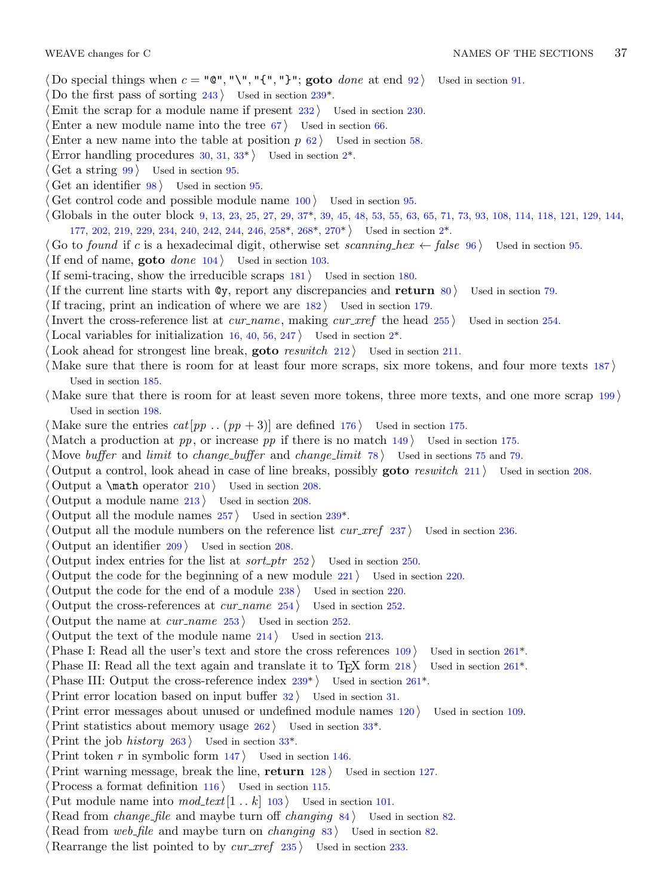### WEAVE changes for C NAMES OF THE SECTIONS 37

- $\langle$  Do special things when  $c = \mathbb{C}^n, \mathbb{N}^n, \mathbb{C}^1, \mathbb{N}^n$ ; **goto** *[do](#page-1-0)ne* at end 92  $\rangle$  Used in section 91.
- Do the first pass of sorting 243 *a* Used in section 239<sup>\*</sup>.
- *<u>Emit the scrap for a module name if present 232 <i>V* Used in section 230.</u>
- Enter a new module name into the tree  $67$  *\* [U](#page-6-0)sed in section  $66$ .
- Enter a new name into the table at posi[tion](#page-9-0)  $p \left( 62 \right)$  $p \left( 62 \right)$  $p \left( 62 \right)$  [U](#page-12-0)sed in section 58.
- Error handling procedures  $30, 31, 33^*$  Used in section  $2^*$ .
- *⟨* Get a string 99 *⟩* Used in section 95.
- *⟨* Get an identifier 98 *⟩* Used in section 95.
- *Cet control code and possible module name*  $100$  *<i>Vsed in section* 95.
- *⟨* Globals in the outer block 9, 13, 23, 25, 27, 29, 37\*, 39, 45, 48, 53, 55, 63, 65, 71, 73, 93, 108, 114, 118, 121, 129, 144, 177, 202, 219, 229, 234, 240, 242, 244, 246, 258\*, 268\*, 270\* *⟩* Used in section 2\*.
- *⟨* Go to *found* if *c* is a hexadecimal digit, otherwise set *scannin[g](#page-1-0) hex ← false* 96 *⟩* Used in section 95.
- *⟨*If end of name, **goto** *done* 104 *⟩* Used in section 103.
- *⟨*If semi-tracing, show the irreducible scraps 181 *⟩* Used in section 180.
- *⟨*If the current line starts with @y, report any discrepancies and **return** 80 *⟩* Used in section 79.
- *If tracing, print an indication of where we are*  $182$  *<i>\* Used in section 179.
- *Invert the cross-reference list at <i>cur\_name*, making *cur\_xref* the head 255 *\* Used in section 254.
- Local variables for initialization  $16, 40, 56, 247$  Used in section  $2^*$ .
- Look ahead for strongest line break, **goto** *reswitch* 212) Used in section 211.
- *⟨* Make sure that there is room for at least four more scraps, six more tokens, and four more texts 187 *⟩* Used in section 185.
- *⟨* Make sure that there is room for at least seven more tokens, three more texts, and one more scrap 199 *⟩* Used in section 198.
- $\langle \text{Make sure the entries } cat[pp \dots (pp + 3)] \text{ are defined } 176 \rangle$  $\langle \text{Make sure the entries } cat[pp \dots (pp + 3)] \text{ are defined } 176 \rangle$  $\langle \text{Make sure the entries } cat[pp \dots (pp + 3)] \text{ are defined } 176 \rangle$  *Used in section 175.*
- *⟨* Match a production at *pp*, or increase *pp* if there is no match 149 *⟩* Used in section 175.
- *⟨* Move *buffer* and *limit* to *change buffer* and *change limit* 78 *⟩* Used in sections 75 and 79.
- *⟨* Output a control, look ahead in case of line breaks, possibly **goto** *reswitch* 211 *⟩* Used in section 208.
- *⟨* Output a \math operator 210 *⟩* Used in section 208.
- *⟨* Output a module name 213 *⟩* Used in section 208.
- *⟨* Output all the module names 257 *⟩* Used in section 239\*.
- *⟨* Output all the module numbers on the reference list *cur xref* 237 *⟩* Used in section 236.
- *⟨* Output an identifier 209 *⟩* Used in section 208.
- Output index entries for the list at *sort\_ptr*  $252$  *\* Used in section 250.
- *⟨* Output the code for the beginning of a new module 221 *⟩* Used in section 220.
- *⟨* Output the code for the end of a module 238 *[⟩](#page-8-0)* Used in section 220[.](#page-10-0)
- *<u>Output the cross-references at <i>cur\_name* 254 *\* Used in section 252.</u>
- *⟨* Output the name at *cur name* 253 *⟩* Used in section 252.
- *⟨* Output the text of the module name 214 *⟩* Used in section [21](#page-5-0)3.
- *Phase I: Read all the user's text and stor[e th](#page-5-0)e cross references 109 <i>>* Used in section 261<sup>\*</sup>.
- *Phase II: Read all the text again and translate it to T<sub>E</sub>X form 218 <i>>* Used in section 261<sup>\*</sup>.
- *Phase III:* Output the cross-reference index  $239^*$  *Vsed in section 261\*.*
- *Print error location based on input buffer*  $32$  */ Used in section 31.*
- *Print error messages about unused or undefined module names 120 <i>>* Used in section 109.
- *Print statistics about memory usage*  $262$  *Used in section 33<sup>\*</sup>.*
- *Print the job <i>history* 263 *\* Used in section 33<sup>\*</sup>.
- Print token *r* in symbolic form  $147$  Used in section 146.
- *Print warning message, break the line, return 128 <i>a* Used in section 127.
- *Process a format definition 116 <i>Vsed in section 115.*
- Put module name into  $mod\_text[1.. k]$  103 *\* Used in section 101.
- *Read from <i>change\_file* and maybe turn off *changing* 84 *\le Used in section 82.*
- *Read from <i>web\_file* and maybe turn on *changing* 83 *>* Used in section 82.
- *⟨* Rearrange the list pointed to by *cur xref* 235 *⟩* Used in section 233.